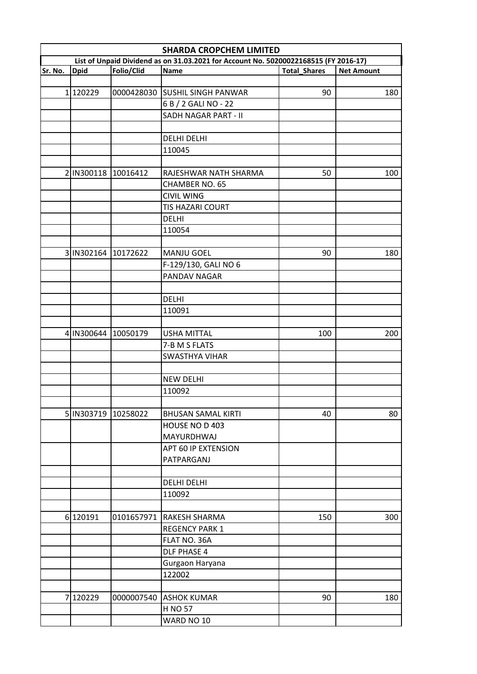|   | <b>SHARDA CROPCHEM LIMITED</b>                                                                                                                                                          |            |                                |     |     |  |  |  |
|---|-----------------------------------------------------------------------------------------------------------------------------------------------------------------------------------------|------------|--------------------------------|-----|-----|--|--|--|
|   | List of Unpaid Dividend as on 31.03.2021 for Account No. 50200022168515 (FY 2016-17)<br>Sr. No.<br>Folio/Clid<br><b>Dpid</b><br><b>Name</b><br><b>Total Shares</b><br><b>Net Amount</b> |            |                                |     |     |  |  |  |
|   |                                                                                                                                                                                         |            |                                |     |     |  |  |  |
|   | 1 120229                                                                                                                                                                                |            | 0000428030 SUSHIL SINGH PANWAR | 90  | 180 |  |  |  |
|   |                                                                                                                                                                                         |            |                                |     |     |  |  |  |
|   |                                                                                                                                                                                         |            | 6 B / 2 GALI NO - 22           |     |     |  |  |  |
|   |                                                                                                                                                                                         |            | SADH NAGAR PART - II           |     |     |  |  |  |
|   |                                                                                                                                                                                         |            |                                |     |     |  |  |  |
|   |                                                                                                                                                                                         |            | <b>DELHI DELHI</b>             |     |     |  |  |  |
|   |                                                                                                                                                                                         |            | 110045                         |     |     |  |  |  |
|   |                                                                                                                                                                                         |            |                                |     |     |  |  |  |
|   | 2 IN300118                                                                                                                                                                              | 10016412   | RAJESHWAR NATH SHARMA          | 50  | 100 |  |  |  |
|   |                                                                                                                                                                                         |            | <b>CHAMBER NO. 65</b>          |     |     |  |  |  |
|   |                                                                                                                                                                                         |            | <b>CIVIL WING</b>              |     |     |  |  |  |
|   |                                                                                                                                                                                         |            | <b>TIS HAZARI COURT</b>        |     |     |  |  |  |
|   |                                                                                                                                                                                         |            | <b>DELHI</b>                   |     |     |  |  |  |
|   |                                                                                                                                                                                         |            | 110054                         |     |     |  |  |  |
|   |                                                                                                                                                                                         |            |                                |     |     |  |  |  |
|   | 3 IN302164 10172622                                                                                                                                                                     |            | <b>MANJU GOEL</b>              | 90  | 180 |  |  |  |
|   |                                                                                                                                                                                         |            | F-129/130, GALI NO 6           |     |     |  |  |  |
|   |                                                                                                                                                                                         |            | PANDAV NAGAR                   |     |     |  |  |  |
|   |                                                                                                                                                                                         |            |                                |     |     |  |  |  |
|   |                                                                                                                                                                                         |            | <b>DELHI</b>                   |     |     |  |  |  |
|   |                                                                                                                                                                                         |            | 110091                         |     |     |  |  |  |
|   |                                                                                                                                                                                         |            |                                |     |     |  |  |  |
|   |                                                                                                                                                                                         |            |                                |     |     |  |  |  |
|   | 4 IN300644                                                                                                                                                                              | 10050179   | <b>USHA MITTAL</b>             | 100 | 200 |  |  |  |
|   |                                                                                                                                                                                         |            | 7-B M S FLATS                  |     |     |  |  |  |
|   |                                                                                                                                                                                         |            | <b>SWASTHYA VIHAR</b>          |     |     |  |  |  |
|   |                                                                                                                                                                                         |            |                                |     |     |  |  |  |
|   |                                                                                                                                                                                         |            | <b>NEW DELHI</b>               |     |     |  |  |  |
|   |                                                                                                                                                                                         |            | 110092                         |     |     |  |  |  |
|   |                                                                                                                                                                                         |            |                                |     |     |  |  |  |
|   | 5 IN303719                                                                                                                                                                              | 10258022   | <b>BHUSAN SAMAL KIRTI</b>      | 40  | 80  |  |  |  |
|   |                                                                                                                                                                                         |            | HOUSE NO D 403                 |     |     |  |  |  |
|   |                                                                                                                                                                                         |            | <b>MAYURDHWAJ</b>              |     |     |  |  |  |
|   |                                                                                                                                                                                         |            | APT 60 IP EXTENSION            |     |     |  |  |  |
|   |                                                                                                                                                                                         |            | PATPARGANJ                     |     |     |  |  |  |
|   |                                                                                                                                                                                         |            |                                |     |     |  |  |  |
|   |                                                                                                                                                                                         |            | <b>DELHI DELHI</b>             |     |     |  |  |  |
|   |                                                                                                                                                                                         |            | 110092                         |     |     |  |  |  |
|   |                                                                                                                                                                                         |            |                                |     |     |  |  |  |
|   | 6 120191                                                                                                                                                                                |            | 0101657971 RAKESH SHARMA       | 150 | 300 |  |  |  |
|   |                                                                                                                                                                                         |            | <b>REGENCY PARK 1</b>          |     |     |  |  |  |
|   |                                                                                                                                                                                         |            |                                |     |     |  |  |  |
|   |                                                                                                                                                                                         |            | FLAT NO. 36A                   |     |     |  |  |  |
|   |                                                                                                                                                                                         |            | <b>DLF PHASE 4</b>             |     |     |  |  |  |
|   |                                                                                                                                                                                         |            | Gurgaon Haryana                |     |     |  |  |  |
|   |                                                                                                                                                                                         |            | 122002                         |     |     |  |  |  |
|   |                                                                                                                                                                                         |            |                                |     |     |  |  |  |
| 7 | 120229                                                                                                                                                                                  | 0000007540 | <b>ASHOK KUMAR</b>             | 90  | 180 |  |  |  |
|   |                                                                                                                                                                                         |            | <b>H NO 57</b>                 |     |     |  |  |  |
|   |                                                                                                                                                                                         |            | WARD NO 10                     |     |     |  |  |  |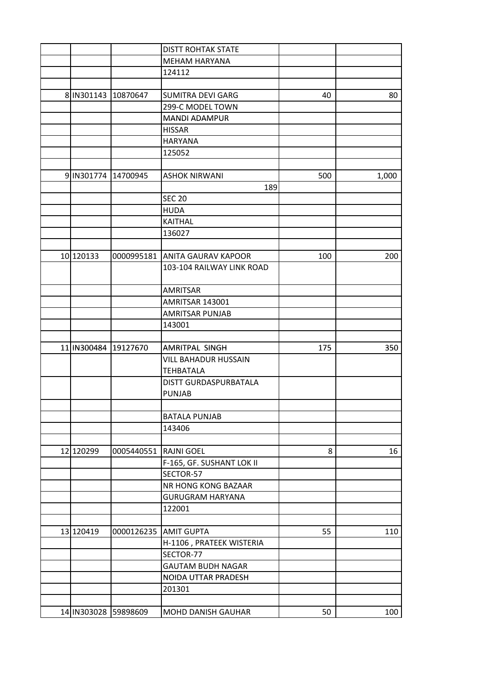|                      |            | <b>DISTT ROHTAK STATE</b>   |     |       |
|----------------------|------------|-----------------------------|-----|-------|
|                      |            | <b>MEHAM HARYANA</b>        |     |       |
|                      |            | 124112                      |     |       |
|                      |            |                             |     |       |
| 8 IN301143           | 10870647   | <b>SUMITRA DEVI GARG</b>    | 40  | 80    |
|                      |            | 299-C MODEL TOWN            |     |       |
|                      |            | <b>MANDI ADAMPUR</b>        |     |       |
|                      |            | <b>HISSAR</b>               |     |       |
|                      |            | <b>HARYANA</b>              |     |       |
|                      |            | 125052                      |     |       |
|                      |            |                             |     |       |
| 9 IN301774 14700945  |            | <b>ASHOK NIRWANI</b>        | 500 | 1,000 |
|                      |            | 189                         |     |       |
|                      |            | <b>SEC 20</b>               |     |       |
|                      |            | <b>HUDA</b>                 |     |       |
|                      |            | <b>KAITHAL</b>              |     |       |
|                      |            | 136027                      |     |       |
|                      |            |                             |     |       |
| 10 120133            | 0000995181 | <b>ANITA GAURAV KAPOOR</b>  | 100 | 200   |
|                      |            | 103-104 RAILWAY LINK ROAD   |     |       |
|                      |            |                             |     |       |
|                      |            | <b>AMRITSAR</b>             |     |       |
|                      |            | AMRITSAR 143001             |     |       |
|                      |            | <b>AMRITSAR PUNJAB</b>      |     |       |
|                      |            | 143001                      |     |       |
|                      |            |                             |     |       |
| 11 IN300484          | 19127670   | AMRITPAL SINGH              | 175 | 350   |
|                      |            | <b>VILL BAHADUR HUSSAIN</b> |     |       |
|                      |            | <b>TEHBATALA</b>            |     |       |
|                      |            | DISTT GURDASPURBATALA       |     |       |
|                      |            | <b>PUNJAB</b>               |     |       |
|                      |            |                             |     |       |
|                      |            | <b>BATALA PUNJAB</b>        |     |       |
|                      |            | 143406                      |     |       |
|                      |            |                             |     |       |
| 12 120299            | 0005440551 | <b>RAJNI GOEL</b>           | 8   | 16    |
|                      |            | F-165, GF. SUSHANT LOK II   |     |       |
|                      |            | SECTOR-57                   |     |       |
|                      |            | NR HONG KONG BAZAAR         |     |       |
|                      |            | <b>GURUGRAM HARYANA</b>     |     |       |
|                      |            | 122001                      |     |       |
|                      |            |                             |     |       |
| 13 120419            |            | 0000126235 AMIT GUPTA       | 55  | 110   |
|                      |            | H-1106, PRATEEK WISTERIA    |     |       |
|                      |            | SECTOR-77                   |     |       |
|                      |            | <b>GAUTAM BUDH NAGAR</b>    |     |       |
|                      |            | NOIDA UTTAR PRADESH         |     |       |
|                      |            | 201301                      |     |       |
|                      |            |                             |     |       |
| 14 IN303028 59898609 |            | <b>MOHD DANISH GAUHAR</b>   | 50  | 100   |
|                      |            |                             |     |       |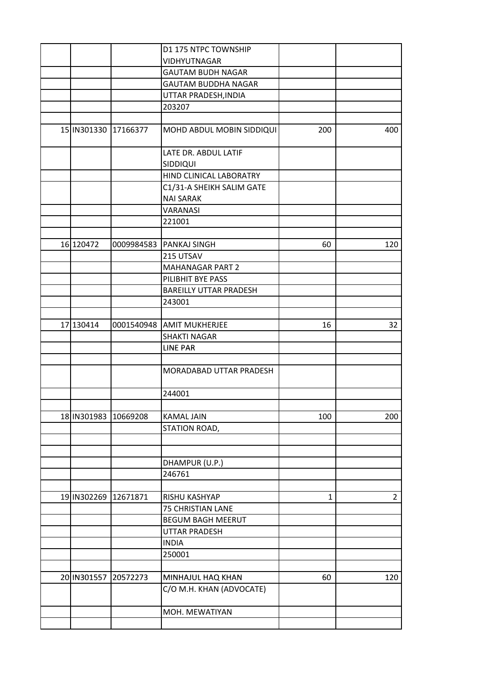|                      |                      | D1 175 NTPC TOWNSHIP             |              |                |
|----------------------|----------------------|----------------------------------|--------------|----------------|
|                      |                      | <b>VIDHYUTNAGAR</b>              |              |                |
|                      |                      | <b>GAUTAM BUDH NAGAR</b>         |              |                |
|                      |                      | GAUTAM BUDDHA NAGAR              |              |                |
|                      |                      | UTTAR PRADESH, INDIA             |              |                |
|                      |                      | 203207                           |              |                |
|                      |                      |                                  |              |                |
|                      | 15 IN301330 17166377 | MOHD ABDUL MOBIN SIDDIQUI        | 200          | 400            |
|                      |                      | LATE DR. ABDUL LATIF<br>SIDDIQUI |              |                |
|                      |                      | HIND CLINICAL LABORATRY          |              |                |
|                      |                      | C1/31-A SHEIKH SALIM GATE        |              |                |
|                      |                      | <b>NAI SARAK</b>                 |              |                |
|                      |                      | VARANASI                         |              |                |
|                      |                      | 221001                           |              |                |
|                      |                      |                                  |              |                |
| 16 120472            | 0009984583           | <b>PANKAJ SINGH</b>              | 60           | 120            |
|                      |                      | 215 UTSAV                        |              |                |
|                      |                      | <b>MAHANAGAR PART 2</b>          |              |                |
|                      |                      | PILIBHIT BYE PASS                |              |                |
|                      |                      | <b>BAREILLY UTTAR PRADESH</b>    |              |                |
|                      |                      | 243001                           |              |                |
|                      |                      |                                  |              |                |
| 17 130414            | 0001540948           | <b>AMIT MUKHERJEE</b>            | 16           | 32             |
|                      |                      | <b>SHAKTI NAGAR</b>              |              |                |
|                      |                      | <b>LINE PAR</b>                  |              |                |
|                      |                      |                                  |              |                |
|                      |                      | MORADABAD UTTAR PRADESH          |              |                |
|                      |                      | 244001                           |              |                |
|                      |                      |                                  |              |                |
| 18 IN301983          | 10669208             | <b>KAMAL JAIN</b>                | 100          | 200            |
|                      |                      | STATION ROAD,                    |              |                |
|                      |                      |                                  |              |                |
|                      |                      |                                  |              |                |
|                      |                      | DHAMPUR (U.P.)                   |              |                |
|                      |                      | 246761                           |              |                |
|                      |                      |                                  |              |                |
| 19 IN302269 12671871 |                      | RISHU KASHYAP                    | $\mathbf{1}$ | $\overline{2}$ |
|                      |                      | <b>75 CHRISTIAN LANE</b>         |              |                |
|                      |                      | <b>BEGUM BAGH MEERUT</b>         |              |                |
|                      |                      | UTTAR PRADESH                    |              |                |
|                      |                      | <b>INDIA</b>                     |              |                |
|                      |                      | 250001                           |              |                |
|                      |                      |                                  |              |                |
|                      | 20572273             |                                  |              | 120            |
| 20 IN301557          |                      | MINHAJUL HAQ KHAN                | 60           |                |
|                      |                      | C/O M.H. KHAN (ADVOCATE)         |              |                |
|                      |                      | MOH. MEWATIYAN                   |              |                |
|                      |                      |                                  |              |                |
|                      |                      |                                  |              |                |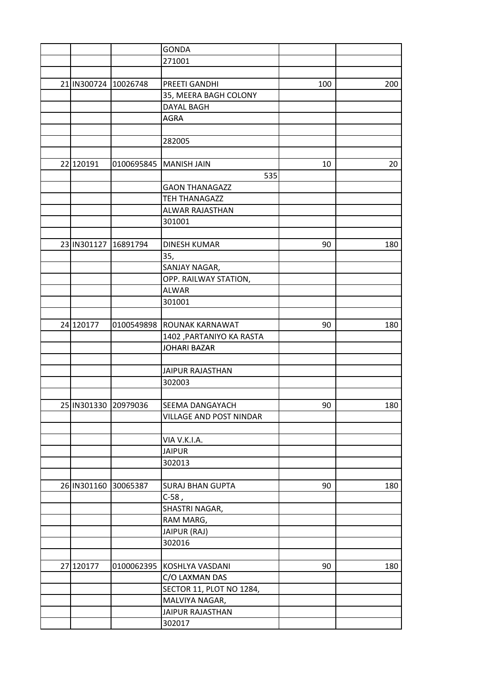|                      |            | <b>GONDA</b>                                     |     |     |
|----------------------|------------|--------------------------------------------------|-----|-----|
|                      |            | 271001                                           |     |     |
|                      |            |                                                  |     |     |
| 21 IN300724 10026748 |            | PREETI GANDHI                                    | 100 | 200 |
|                      |            | 35, MEERA BAGH COLONY                            |     |     |
|                      |            | <b>DAYAL BAGH</b>                                |     |     |
|                      |            | <b>AGRA</b>                                      |     |     |
|                      |            |                                                  |     |     |
|                      |            | 282005                                           |     |     |
|                      |            |                                                  |     |     |
| 22 120191            | 0100695845 | <b>MANISH JAIN</b>                               | 10  | 20  |
|                      |            | 535                                              |     |     |
|                      |            | <b>GAON THANAGAZZ</b>                            |     |     |
|                      |            | TEH THANAGAZZ                                    |     |     |
|                      |            | ALWAR RAJASTHAN                                  |     |     |
|                      |            | 301001                                           |     |     |
|                      |            |                                                  |     |     |
| 23 IN301127          | 16891794   | <b>DINESH KUMAR</b>                              | 90  | 180 |
|                      |            | 35,                                              |     |     |
|                      |            | SANJAY NAGAR,                                    |     |     |
|                      |            | OPP. RAILWAY STATION,                            |     |     |
|                      |            | <b>ALWAR</b>                                     |     |     |
|                      |            | 301001                                           |     |     |
|                      |            |                                                  |     |     |
| 24 120177            | 0100549898 | <b>ROUNAK KARNAWAT</b>                           | 90  | 180 |
|                      |            |                                                  |     |     |
|                      |            | 1402 , PARTANIYO KA RASTA<br><b>JOHARI BAZAR</b> |     |     |
|                      |            |                                                  |     |     |
|                      |            |                                                  |     |     |
|                      |            | <b>JAIPUR RAJASTHAN</b>                          |     |     |
|                      |            | 302003                                           |     |     |
|                      |            |                                                  |     |     |
| 25 IN301330 20979036 |            | <b>SEEMA DANGAYACH</b>                           | 90  | 180 |
|                      |            | VILLAGE AND POST NINDAR                          |     |     |
|                      |            |                                                  |     |     |
|                      |            | VIA V.K.I.A.                                     |     |     |
|                      |            | <b>JAIPUR</b>                                    |     |     |
|                      |            | 302013                                           |     |     |
|                      |            |                                                  |     |     |
| 26 IN301160          | 30065387   | <b>SURAJ BHAN GUPTA</b>                          | 90  | 180 |
|                      |            | $C-58$ ,                                         |     |     |
|                      |            | SHASTRI NAGAR,                                   |     |     |
|                      |            | RAM MARG,                                        |     |     |
|                      |            | JAIPUR (RAJ)                                     |     |     |
|                      |            | 302016                                           |     |     |
|                      |            |                                                  |     |     |
| 27 120177            | 0100062395 | KOSHLYA VASDANI                                  | 90  | 180 |
|                      |            | C/O LAXMAN DAS                                   |     |     |
|                      |            | SECTOR 11, PLOT NO 1284,                         |     |     |
|                      |            | MALVIYA NAGAR,                                   |     |     |
|                      |            | <b>JAIPUR RAJASTHAN</b>                          |     |     |
|                      |            | 302017                                           |     |     |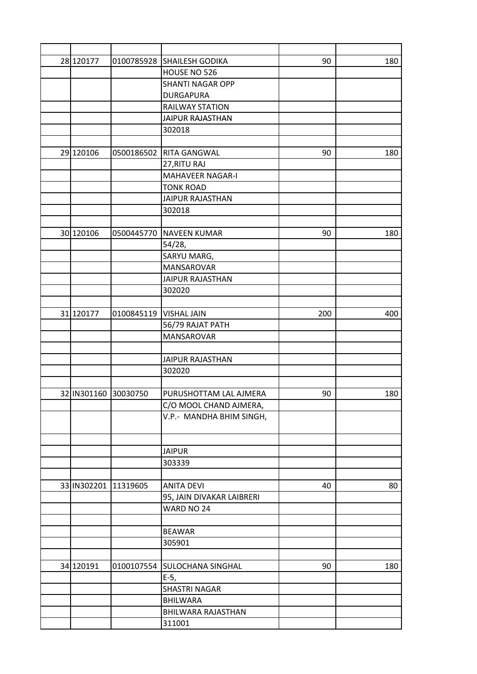| 28 120177            |            | 0100785928 SHAILESH GODIKA | 90  | 180 |
|----------------------|------------|----------------------------|-----|-----|
|                      |            | HOUSE NO 526               |     |     |
|                      |            | <b>SHANTI NAGAR OPP</b>    |     |     |
|                      |            | <b>DURGAPURA</b>           |     |     |
|                      |            | <b>RAILWAY STATION</b>     |     |     |
|                      |            | JAIPUR RAJASTHAN           |     |     |
|                      |            | 302018                     |     |     |
|                      |            |                            |     |     |
| 29 120106            | 0500186502 | RITA GANGWAL               | 90  | 180 |
|                      |            | 27, RITU RAJ               |     |     |
|                      |            | MAHAVEER NAGAR-I           |     |     |
|                      |            | <b>TONK ROAD</b>           |     |     |
|                      |            | JAIPUR RAJASTHAN           |     |     |
|                      |            | 302018                     |     |     |
|                      |            |                            |     |     |
| 30 120106            | 0500445770 | <b>NAVEEN KUMAR</b>        | 90  | 180 |
|                      |            | 54/28,                     |     |     |
|                      |            | SARYU MARG,                |     |     |
|                      |            | <b>MANSAROVAR</b>          |     |     |
|                      |            | <b>JAIPUR RAJASTHAN</b>    |     |     |
|                      |            | 302020                     |     |     |
|                      |            |                            |     |     |
| 31 120177            | 0100845119 | <b>VISHAL JAIN</b>         | 200 | 400 |
|                      |            | 56/79 RAJAT PATH           |     |     |
|                      |            | MANSAROVAR                 |     |     |
|                      |            |                            |     |     |
|                      |            | <b>JAIPUR RAJASTHAN</b>    |     |     |
|                      |            | 302020                     |     |     |
|                      |            |                            |     |     |
| 32 IN301160 30030750 |            | PURUSHOTTAM LAL AJMERA     | 90  | 180 |
|                      |            | C/O MOOL CHAND AJMERA,     |     |     |
|                      |            | V.P.- MANDHA BHIM SINGH,   |     |     |
|                      |            |                            |     |     |
|                      |            |                            |     |     |
|                      |            | <b>JAIPUR</b>              |     |     |
|                      |            | 303339                     |     |     |
|                      |            |                            |     |     |
| 33 IN302201          | 11319605   | <b>ANITA DEVI</b>          | 40  | 80  |
|                      |            | 95, JAIN DIVAKAR LAIBRERI  |     |     |
|                      |            | WARD NO 24                 |     |     |
|                      |            |                            |     |     |
|                      |            | <b>BEAWAR</b>              |     |     |
|                      |            | 305901                     |     |     |
|                      |            |                            |     |     |
| 34 120191            | 0100107554 | SULOCHANA SINGHAL          | 90  | 180 |
|                      |            | $E-5,$                     |     |     |
|                      |            | <b>SHASTRI NAGAR</b>       |     |     |
|                      |            | <b>BHILWARA</b>            |     |     |
|                      |            | BHILWARA RAJASTHAN         |     |     |
|                      |            | 311001                     |     |     |
|                      |            |                            |     |     |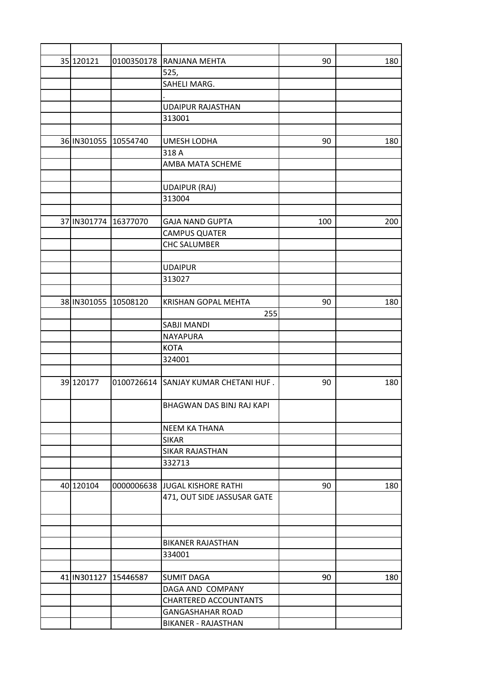| 35 120121            | 0100350178 | RANJANA MEHTA                        | 90  | 180 |
|----------------------|------------|--------------------------------------|-----|-----|
|                      |            | 525,                                 |     |     |
|                      |            | SAHELI MARG.                         |     |     |
|                      |            |                                      |     |     |
|                      |            | <b>UDAIPUR RAJASTHAN</b>             |     |     |
|                      |            | 313001                               |     |     |
|                      |            |                                      |     |     |
| 36 IN301055 10554740 |            | <b>UMESH LODHA</b>                   | 90  | 180 |
|                      |            | 318 A                                |     |     |
|                      |            | AMBA MATA SCHEME                     |     |     |
|                      |            |                                      |     |     |
|                      |            | <b>UDAIPUR (RAJ)</b>                 |     |     |
|                      |            | 313004                               |     |     |
|                      |            |                                      |     |     |
| 37 IN301774 16377070 |            | <b>GAJA NAND GUPTA</b>               | 100 | 200 |
|                      |            | <b>CAMPUS QUATER</b>                 |     |     |
|                      |            | <b>CHC SALUMBER</b>                  |     |     |
|                      |            |                                      |     |     |
|                      |            | <b>UDAIPUR</b>                       |     |     |
|                      |            | 313027                               |     |     |
|                      |            |                                      |     |     |
| 38 IN301055 10508120 |            | <b>KRISHAN GOPAL MEHTA</b>           | 90  | 180 |
|                      |            | 255                                  |     |     |
|                      |            | SABJI MANDI                          |     |     |
|                      |            | <b>NAYAPURA</b>                      |     |     |
|                      |            | <b>KOTA</b>                          |     |     |
|                      |            | 324001                               |     |     |
|                      |            |                                      |     |     |
| 39 120177            |            | 0100726614 SANJAY KUMAR CHETANI HUF. | 90  | 180 |
|                      |            |                                      |     |     |
|                      |            | BHAGWAN DAS BINJ RAJ KAPI            |     |     |
|                      |            |                                      |     |     |
|                      |            | <b>NEEM KA THANA</b>                 |     |     |
|                      |            | <b>SIKAR</b>                         |     |     |
|                      |            | <b>SIKAR RAJASTHAN</b>               |     |     |
|                      |            | 332713                               |     |     |
|                      |            |                                      |     |     |
| 40 120104            |            | 0000006638 JJUGAL KISHORE RATHI      | 90  | 180 |
|                      |            | 471, OUT SIDE JASSUSAR GATE          |     |     |
|                      |            |                                      |     |     |
|                      |            |                                      |     |     |
|                      |            |                                      |     |     |
|                      |            | <b>BIKANER RAJASTHAN</b>             |     |     |
|                      |            | 334001                               |     |     |
|                      |            |                                      |     |     |
| 41 IN301127 15446587 |            | <b>SUMIT DAGA</b>                    | 90  | 180 |
|                      |            | DAGA AND COMPANY                     |     |     |
|                      |            | <b>CHARTERED ACCOUNTANTS</b>         |     |     |
|                      |            | <b>GANGASHAHAR ROAD</b>              |     |     |
|                      |            | BIKANER - RAJASTHAN                  |     |     |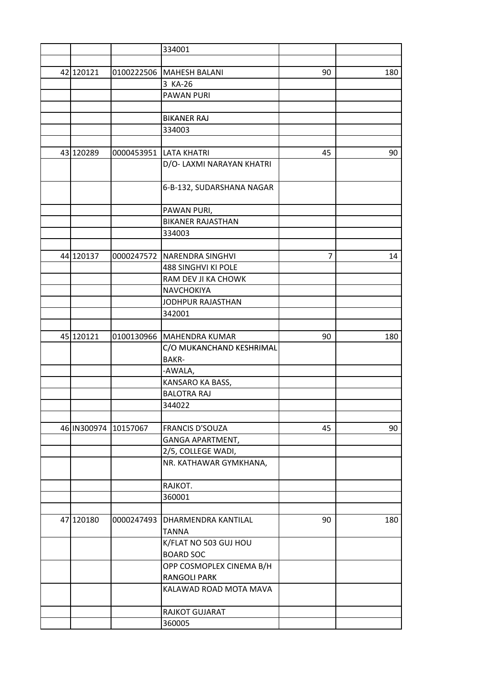|           |                      | 334001                     |    |     |
|-----------|----------------------|----------------------------|----|-----|
|           |                      |                            |    |     |
| 42 120121 | 0100222506           | <b>MAHESH BALANI</b>       | 90 | 180 |
|           |                      | 3 KA-26                    |    |     |
|           |                      | PAWAN PURI                 |    |     |
|           |                      |                            |    |     |
|           |                      | <b>BIKANER RAJ</b>         |    |     |
|           |                      | 334003                     |    |     |
|           |                      |                            |    |     |
| 43 120289 | 0000453951           | <b>LATA KHATRI</b>         | 45 | 90  |
|           |                      | D/O- LAXMI NARAYAN KHATRI  |    |     |
|           |                      |                            |    |     |
|           |                      | 6-B-132, SUDARSHANA NAGAR  |    |     |
|           |                      |                            |    |     |
|           |                      | PAWAN PURI,                |    |     |
|           |                      | <b>BIKANER RAJASTHAN</b>   |    |     |
|           |                      | 334003                     |    |     |
|           |                      |                            |    |     |
| 44 120137 | 0000247572           | NARENDRA SINGHVI           | 7  | 14  |
|           |                      | <b>488 SINGHVI KI POLE</b> |    |     |
|           |                      | RAM DEV JI KA CHOWK        |    |     |
|           |                      | NAVCHOKIYA                 |    |     |
|           |                      | JODHPUR RAJASTHAN          |    |     |
|           |                      | 342001                     |    |     |
|           |                      |                            |    |     |
| 45 120121 | 0100130966           | <b>MAHENDRA KUMAR</b>      | 90 | 180 |
|           |                      | C/O MUKANCHAND KESHRIMAL   |    |     |
|           |                      | <b>BAKR-</b>               |    |     |
|           |                      | -AWALA,                    |    |     |
|           |                      | KANSARO KA BASS,           |    |     |
|           |                      | <b>BALOTRA RAJ</b>         |    |     |
|           |                      | 344022                     |    |     |
|           |                      |                            |    |     |
|           | 46 IN300974 10157067 | <b>FRANCIS D'SOUZA</b>     | 45 | 90  |
|           |                      | GANGA APARTMENT,           |    |     |
|           |                      | 2/5, COLLEGE WADI,         |    |     |
|           |                      | NR. KATHAWAR GYMKHANA,     |    |     |
|           |                      |                            |    |     |
|           |                      | RAJKOT.                    |    |     |
|           |                      | 360001                     |    |     |
|           |                      |                            |    |     |
| 47 120180 | 0000247493           | DHARMENDRA KANTILAL        | 90 | 180 |
|           |                      | <b>TANNA</b>               |    |     |
|           |                      |                            |    |     |
|           |                      | K/FLAT NO 503 GUJ HOU      |    |     |
|           |                      | <b>BOARD SOC</b>           |    |     |
|           |                      | OPP COSMOPLEX CINEMA B/H   |    |     |
|           |                      | <b>RANGOLI PARK</b>        |    |     |
|           |                      | KALAWAD ROAD MOTA MAVA     |    |     |
|           |                      | RAJKOT GUJARAT             |    |     |
|           |                      | 360005                     |    |     |
|           |                      |                            |    |     |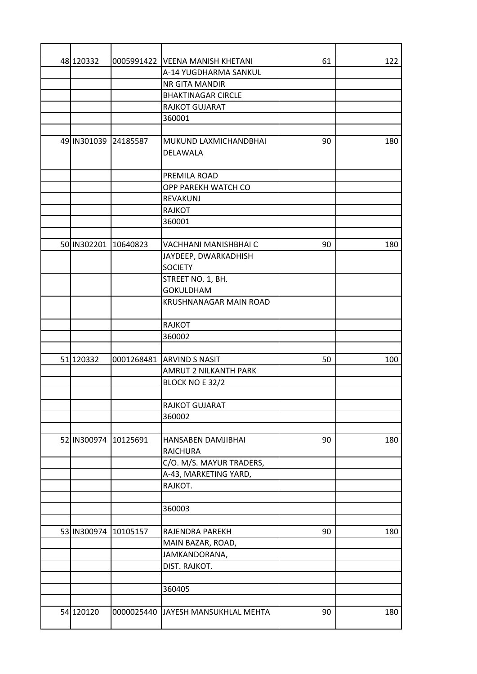| 48 120332            | 0005991422 | <b>VEENA MANISH KHETANI</b> | 61 | 122 |
|----------------------|------------|-----------------------------|----|-----|
|                      |            | A-14 YUGDHARMA SANKUL       |    |     |
|                      |            | NR GITA MANDIR              |    |     |
|                      |            | <b>BHAKTINAGAR CIRCLE</b>   |    |     |
|                      |            | RAJKOT GUJARAT              |    |     |
|                      |            | 360001                      |    |     |
|                      |            |                             |    |     |
| 49 IN301039 24185587 |            | MUKUND LAXMICHANDBHAI       | 90 | 180 |
|                      |            | <b>DELAWALA</b>             |    |     |
|                      |            |                             |    |     |
|                      |            | PREMILA ROAD                |    |     |
|                      |            | OPP PAREKH WATCH CO         |    |     |
|                      |            | REVAKUNJ                    |    |     |
|                      |            | <b>RAJKOT</b>               |    |     |
|                      |            | 360001                      |    |     |
|                      |            |                             |    |     |
| 50 IN302201          | 10640823   | VACHHANI MANISHBHAI C       | 90 | 180 |
|                      |            | JAYDEEP, DWARKADHISH        |    |     |
|                      |            | <b>SOCIETY</b>              |    |     |
|                      |            | STREET NO. 1, BH.           |    |     |
|                      |            | <b>GOKULDHAM</b>            |    |     |
|                      |            | KRUSHNANAGAR MAIN ROAD      |    |     |
|                      |            | RAJKOT                      |    |     |
|                      |            | 360002                      |    |     |
|                      |            |                             |    |     |
| 51 120332            |            | 0001268481 ARVIND S NASIT   | 50 | 100 |
|                      |            | AMRUT 2 NILKANTH PARK       |    |     |
|                      |            | BLOCK NO E 32/2             |    |     |
|                      |            |                             |    |     |
|                      |            | RAJKOT GUJARAT              |    |     |
|                      |            | 360002                      |    |     |
|                      |            |                             |    |     |
| 52 IN300974          | 10125691   | HANSABEN DAMJIBHAI          | 90 | 180 |
|                      |            | <b>RAICHURA</b>             |    |     |
|                      |            | C/O. M/S. MAYUR TRADERS,    |    |     |
|                      |            | A-43, MARKETING YARD,       |    |     |
|                      |            | RAJKOT.                     |    |     |
|                      |            |                             |    |     |
|                      |            | 360003                      |    |     |
|                      |            |                             |    |     |
| 53 IN300974          | 10105157   | RAJENDRA PAREKH             | 90 | 180 |
|                      |            | MAIN BAZAR, ROAD,           |    |     |
|                      |            | JAMKANDORANA,               |    |     |
|                      |            | DIST. RAJKOT.               |    |     |
|                      |            |                             |    |     |
|                      |            | 360405                      |    |     |
|                      |            |                             |    |     |
| 54 120120            | 0000025440 | JAYESH MANSUKHLAL MEHTA     | 90 | 180 |
|                      |            |                             |    |     |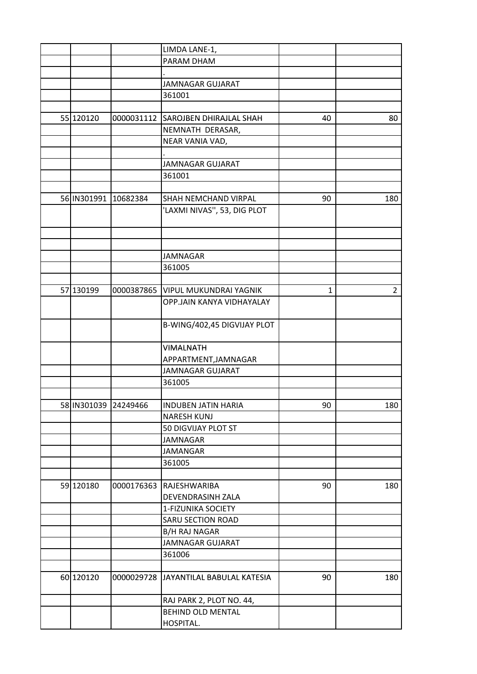|                       |            | LIMDA LANE-1,                          |    |                |
|-----------------------|------------|----------------------------------------|----|----------------|
|                       |            | PARAM DHAM                             |    |                |
|                       |            |                                        |    |                |
|                       |            | <b>JAMNAGAR GUJARAT</b>                |    |                |
|                       |            | 361001                                 |    |                |
|                       |            |                                        |    |                |
| 55 120120             |            | 0000031112 SAROJBEN DHIRAJLAL SHAH     | 40 | 80             |
|                       |            | NEMNATH DERASAR,                       |    |                |
|                       |            | NEAR VANIA VAD,                        |    |                |
|                       |            |                                        |    |                |
|                       |            | JAMNAGAR GUJARAT                       |    |                |
|                       |            | 361001                                 |    |                |
|                       |            |                                        |    |                |
|                       |            |                                        |    |                |
| 56 IN301991           | 10682384   | SHAH NEMCHAND VIRPAL                   | 90 | 180            |
|                       |            | 'LAXMI NIVAS", 53, DIG PLOT            |    |                |
|                       |            |                                        |    |                |
|                       |            |                                        |    |                |
|                       |            |                                        |    |                |
|                       |            | <b>JAMNAGAR</b>                        |    |                |
|                       |            | 361005                                 |    |                |
|                       |            |                                        |    |                |
| 57 130199             |            | 0000387865   VIPUL MUKUNDRAI YAGNIK    | 1  | $\overline{2}$ |
|                       |            | OPP.JAIN KANYA VIDHAYALAY              |    |                |
|                       |            | B-WING/402,45 DIGVIJAY PLOT            |    |                |
|                       |            |                                        |    |                |
|                       |            | <b>VIMALNATH</b>                       |    |                |
|                       |            | APPARTMENT, JAMNAGAR                   |    |                |
|                       |            | <b>JAMNAGAR GUJARAT</b>                |    |                |
|                       |            | 361005                                 |    |                |
|                       |            |                                        |    |                |
| 58 IN301039  24249466 |            | INDUBEN JATIN HARIA                    | 90 | 180            |
|                       |            | <b>NARESH KUNJ</b>                     |    |                |
|                       |            | 50 DIGVIJAY PLOT ST                    |    |                |
|                       |            | <b>JAMNAGAR</b>                        |    |                |
|                       |            | <b>JAMANGAR</b>                        |    |                |
|                       |            | 361005                                 |    |                |
|                       |            |                                        |    |                |
| 59 120180             | 0000176363 | RAJESHWARIBA                           | 90 | 180            |
|                       |            | DEVENDRASINH ZALA                      |    |                |
|                       |            | 1-FIZUNIKA SOCIETY                     |    |                |
|                       |            | SARU SECTION ROAD                      |    |                |
|                       |            | <b>B/H RAJ NAGAR</b>                   |    |                |
|                       |            | <b>JAMNAGAR GUJARAT</b>                |    |                |
|                       |            | 361006                                 |    |                |
|                       |            |                                        |    |                |
| 60 120120             |            | 0000029728 JJAYANTILAL BABULAL KATESIA | 90 | 180            |
|                       |            |                                        |    |                |
|                       |            | RAJ PARK 2, PLOT NO. 44,               |    |                |
|                       |            | <b>BEHIND OLD MENTAL</b>               |    |                |
|                       |            | HOSPITAL.                              |    |                |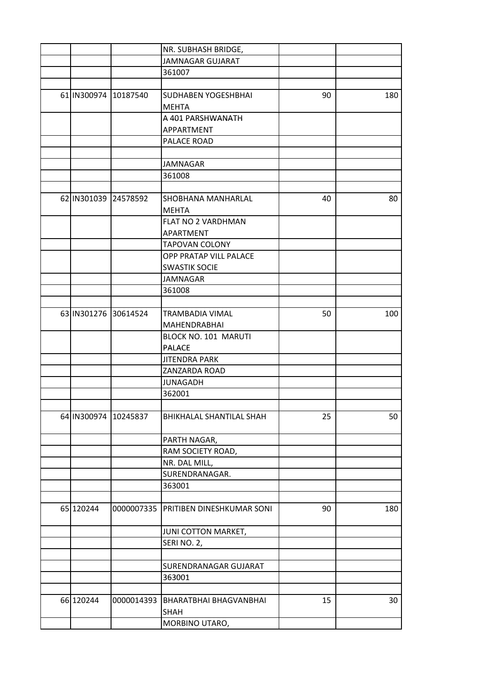|                      |                      | NR. SUBHASH BRIDGE,                   |    |     |
|----------------------|----------------------|---------------------------------------|----|-----|
|                      |                      | <b>JAMNAGAR GUJARAT</b>               |    |     |
|                      |                      | 361007                                |    |     |
|                      |                      |                                       |    |     |
| 61 IN300974          | 10187540             | SUDHABEN YOGESHBHAI                   | 90 | 180 |
|                      |                      | <b>MEHTA</b>                          |    |     |
|                      |                      | A 401 PARSHWANATH                     |    |     |
|                      |                      | APPARTMENT                            |    |     |
|                      |                      | PALACE ROAD                           |    |     |
|                      |                      |                                       |    |     |
|                      |                      | <b>JAMNAGAR</b>                       |    |     |
|                      |                      | 361008                                |    |     |
|                      |                      |                                       |    |     |
| 62 IN301039 24578592 |                      | SHOBHANA MANHARLAL                    | 40 | 80  |
|                      |                      | <b>MEHTA</b>                          |    |     |
|                      |                      | FLAT NO 2 VARDHMAN                    |    |     |
|                      |                      | APARTMENT                             |    |     |
|                      |                      | <b>TAPOVAN COLONY</b>                 |    |     |
|                      |                      | <b>OPP PRATAP VILL PALACE</b>         |    |     |
|                      |                      | <b>SWASTIK SOCIE</b>                  |    |     |
|                      |                      | JAMNAGAR                              |    |     |
|                      |                      | 361008                                |    |     |
|                      |                      |                                       |    |     |
| 63 IN301276 30614524 |                      | TRAMBADIA VIMAL                       | 50 | 100 |
|                      |                      | MAHENDRABHAI                          |    |     |
|                      |                      | BLOCK NO. 101 MARUTI                  |    |     |
|                      |                      |                                       |    |     |
|                      |                      | <b>PALACE</b><br><b>JITENDRA PARK</b> |    |     |
|                      |                      |                                       |    |     |
|                      |                      | ZANZARDA ROAD                         |    |     |
|                      |                      | <b>JUNAGADH</b>                       |    |     |
|                      |                      | 362001                                |    |     |
|                      | 64 IN300974 10245837 | BHIKHALAL SHANTILAL SHAH              | 25 | 50  |
|                      |                      |                                       |    |     |
|                      |                      | PARTH NAGAR,                          |    |     |
|                      |                      | RAM SOCIETY ROAD,                     |    |     |
|                      |                      | NR. DAL MILL,                         |    |     |
|                      |                      | SURENDRANAGAR.                        |    |     |
|                      |                      | 363001                                |    |     |
|                      |                      |                                       |    |     |
| 65 120244            | 0000007335           | PRITIBEN DINESHKUMAR SONI             | 90 | 180 |
|                      |                      | JUNI COTTON MARKET,                   |    |     |
|                      |                      | SERINO. 2,                            |    |     |
|                      |                      |                                       |    |     |
|                      |                      | SURENDRANAGAR GUJARAT                 |    |     |
|                      |                      | 363001                                |    |     |
|                      |                      |                                       |    |     |
| 66 120244            | 0000014393           | BHARATBHAI BHAGVANBHAI                | 15 | 30  |
|                      |                      | SHAH                                  |    |     |
|                      |                      | MORBINO UTARO,                        |    |     |
|                      |                      |                                       |    |     |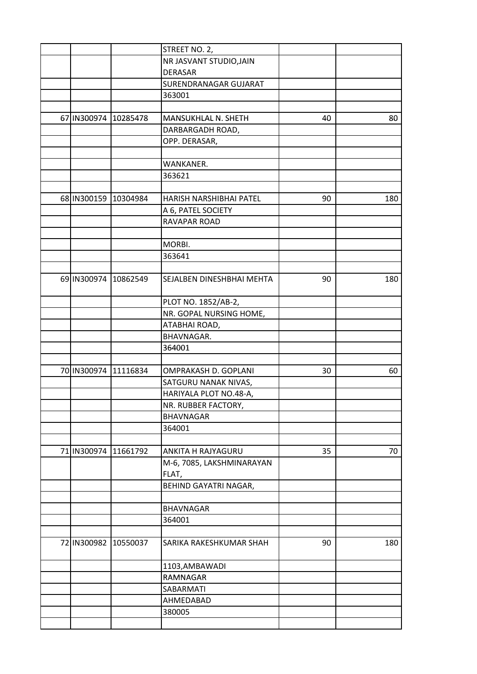|                      |          | STREET NO. 2,             |    |     |
|----------------------|----------|---------------------------|----|-----|
|                      |          | NR JASVANT STUDIO, JAIN   |    |     |
|                      |          | <b>DERASAR</b>            |    |     |
|                      |          | SURENDRANAGAR GUJARAT     |    |     |
|                      |          | 363001                    |    |     |
|                      |          |                           |    |     |
| 67 IN300974 10285478 |          | MANSUKHLAL N. SHETH       | 40 | 80  |
|                      |          | DARBARGADH ROAD,          |    |     |
|                      |          | OPP. DERASAR,             |    |     |
|                      |          |                           |    |     |
|                      |          | WANKANER.                 |    |     |
|                      |          | 363621                    |    |     |
|                      |          |                           |    |     |
| 68 IN300159          | 10304984 | HARISH NARSHIBHAI PATEL   | 90 | 180 |
|                      |          | A 6, PATEL SOCIETY        |    |     |
|                      |          | RAVAPAR ROAD              |    |     |
|                      |          |                           |    |     |
|                      |          | MORBI.                    |    |     |
|                      |          | 363641                    |    |     |
|                      |          |                           |    |     |
| 69 IN300974          | 10862549 | SEJALBEN DINESHBHAI MEHTA | 90 | 180 |
|                      |          | PLOT NO. 1852/AB-2,       |    |     |
|                      |          | NR. GOPAL NURSING HOME,   |    |     |
|                      |          | ATABHAI ROAD,             |    |     |
|                      |          | BHAVNAGAR.                |    |     |
|                      |          | 364001                    |    |     |
|                      |          |                           |    |     |
| 70 IN300974 11116834 |          | OMPRAKASH D. GOPLANI      | 30 | 60  |
|                      |          | SATGURU NANAK NIVAS,      |    |     |
|                      |          | HARIYALA PLOT NO.48-A,    |    |     |
|                      |          | NR. RUBBER FACTORY,       |    |     |
|                      |          | <b>BHAVNAGAR</b>          |    |     |
|                      |          | 364001                    |    |     |
|                      |          |                           |    |     |
| 71 IN300974          | 11661792 | ANKITA H RAJYAGURU        | 35 | 70  |
|                      |          | M-6, 7085, LAKSHMINARAYAN |    |     |
|                      |          | FLAT,                     |    |     |
|                      |          | BEHIND GAYATRI NAGAR,     |    |     |
|                      |          |                           |    |     |
|                      |          | <b>BHAVNAGAR</b>          |    |     |
|                      |          | 364001                    |    |     |
|                      |          |                           |    |     |
| 72 IN300982          | 10550037 | SARIKA RAKESHKUMAR SHAH   | 90 | 180 |
|                      |          | 1103, AMBAWADI            |    |     |
|                      |          | RAMNAGAR                  |    |     |
|                      |          | SABARMATI                 |    |     |
|                      |          | AHMEDABAD                 |    |     |
|                      |          | 380005                    |    |     |
|                      |          |                           |    |     |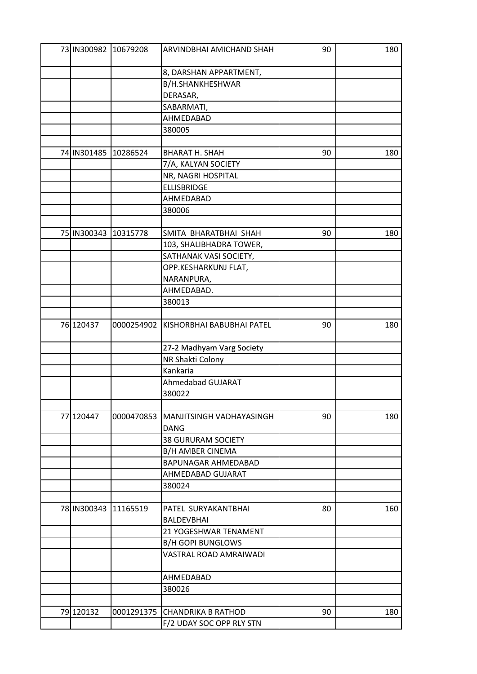|             | 73 IN300982 10679208 | ARVINDBHAI AMICHAND SHAH      | 90 | 180 |
|-------------|----------------------|-------------------------------|----|-----|
|             |                      | 8, DARSHAN APPARTMENT,        |    |     |
|             |                      | B/H.SHANKHESHWAR              |    |     |
|             |                      | DERASAR,                      |    |     |
|             |                      | SABARMATI,                    |    |     |
|             |                      | AHMEDABAD                     |    |     |
|             |                      | 380005                        |    |     |
|             |                      |                               |    |     |
| 74 IN301485 | 10286524             | <b>BHARAT H. SHAH</b>         | 90 | 180 |
|             |                      | 7/A, KALYAN SOCIETY           |    |     |
|             |                      | NR, NAGRI HOSPITAL            |    |     |
|             |                      | <b>ELLISBRIDGE</b>            |    |     |
|             |                      | AHMEDABAD                     |    |     |
|             |                      | 380006                        |    |     |
|             |                      |                               |    |     |
| 75 IN300343 | 10315778             | SMITA BHARATBHAI SHAH         | 90 | 180 |
|             |                      | 103, SHALIBHADRA TOWER,       |    |     |
|             |                      | SATHANAK VASI SOCIETY,        |    |     |
|             |                      | OPP.KESHARKUNJ FLAT,          |    |     |
|             |                      | NARANPURA,                    |    |     |
|             |                      | AHMEDABAD.                    |    |     |
|             |                      | 380013                        |    |     |
|             |                      |                               |    |     |
| 76 120437   | 0000254902           | KISHORBHAI BABUBHAI PATEL     | 90 | 180 |
|             |                      | 27-2 Madhyam Varg Society     |    |     |
|             |                      | NR Shakti Colony              |    |     |
|             |                      | Kankaria                      |    |     |
|             |                      | Ahmedabad GUJARAT             |    |     |
|             |                      | 380022                        |    |     |
|             |                      |                               |    |     |
| 77 120447   | 0000470853           | MANJITSINGH VADHAYASINGH      | 90 | 180 |
|             |                      | <b>DANG</b>                   |    |     |
|             |                      | <b>38 GURURAM SOCIETY</b>     |    |     |
|             |                      | <b>B/H AMBER CINEMA</b>       |    |     |
|             |                      | BAPUNAGAR AHMEDABAD           |    |     |
|             |                      | AHMEDABAD GUJARAT             |    |     |
|             |                      | 380024                        |    |     |
|             |                      |                               |    |     |
| 78 IN300343 | 11165519             | PATEL SURYAKANTBHAI           | 80 | 160 |
|             |                      | <b>BALDEVBHAI</b>             |    |     |
|             |                      | 21 YOGESHWAR TENAMENT         |    |     |
|             |                      | <b>B/H GOPI BUNGLOWS</b>      |    |     |
|             |                      | VASTRAL ROAD AMRAIWADI        |    |     |
|             |                      | AHMEDABAD                     |    |     |
|             |                      | 380026                        |    |     |
|             |                      |                               |    |     |
| 79 120132   |                      | 0001291375 CHANDRIKA B RATHOD | 90 | 180 |
|             |                      | F/2 UDAY SOC OPP RLY STN      |    |     |
|             |                      |                               |    |     |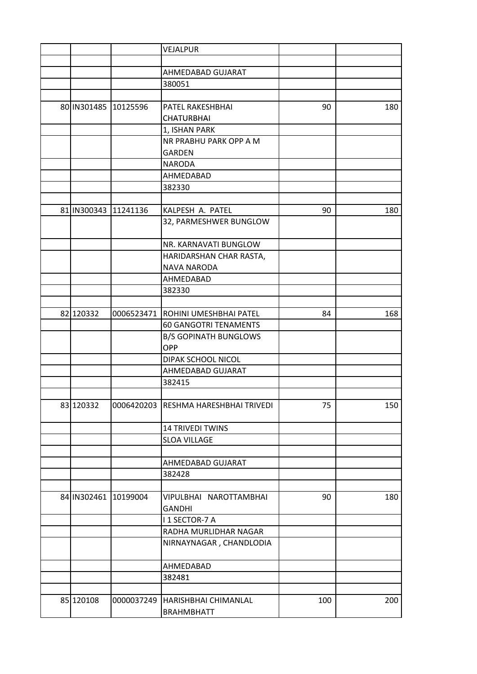|             |                      | VEJALPUR                             |     |     |
|-------------|----------------------|--------------------------------------|-----|-----|
|             |                      |                                      |     |     |
|             |                      | AHMEDABAD GUJARAT                    |     |     |
|             |                      | 380051                               |     |     |
|             |                      |                                      |     |     |
|             | 80 IN301485 10125596 | PATEL RAKESHBHAI                     | 90  | 180 |
|             |                      | <b>CHATURBHAI</b>                    |     |     |
|             |                      | 1, ISHAN PARK                        |     |     |
|             |                      | NR PRABHU PARK OPP A M               |     |     |
|             |                      | <b>GARDEN</b>                        |     |     |
|             |                      | <b>NARODA</b>                        |     |     |
|             |                      | AHMEDABAD                            |     |     |
|             |                      | 382330                               |     |     |
|             |                      |                                      |     |     |
|             | 81 IN300343 11241136 | KALPESH A. PATEL                     | 90  | 180 |
|             |                      | 32, PARMESHWER BUNGLOW               |     |     |
|             |                      |                                      |     |     |
|             |                      | NR. KARNAVATI BUNGLOW                |     |     |
|             |                      | HARIDARSHAN CHAR RASTA,              |     |     |
|             |                      | <b>NAVA NARODA</b>                   |     |     |
|             |                      | AHMEDABAD                            |     |     |
|             |                      | 382330                               |     |     |
|             |                      |                                      |     |     |
| 82 120332   | 0006523471           | ROHINI UMESHBHAI PATEL               | 84  | 168 |
|             |                      | <b>60 GANGOTRI TENAMENTS</b>         |     |     |
|             |                      | <b>B/S GOPINATH BUNGLOWS</b>         |     |     |
|             |                      | OPP                                  |     |     |
|             |                      | DIPAK SCHOOL NICOL                   |     |     |
|             |                      | AHMEDABAD GUJARAT                    |     |     |
|             |                      | 382415                               |     |     |
|             |                      |                                      |     |     |
| 83 120332   |                      | 0006420203 RESHMA HARESHBHAI TRIVEDI | 75  | 150 |
|             |                      | <b>14 TRIVEDI TWINS</b>              |     |     |
|             |                      | <b>SLOA VILLAGE</b>                  |     |     |
|             |                      |                                      |     |     |
|             |                      | AHMEDABAD GUJARAT                    |     |     |
|             |                      | 382428                               |     |     |
|             |                      |                                      |     |     |
| 84 IN302461 | 10199004             | VIPULBHAI NAROTTAMBHAI               | 90  | 180 |
|             |                      | <b>GANDHI</b>                        |     |     |
|             |                      | I 1 SECTOR-7 A                       |     |     |
|             |                      | RADHA MURLIDHAR NAGAR                |     |     |
|             |                      | NIRNAYNAGAR, CHANDLODIA              |     |     |
|             |                      |                                      |     |     |
|             |                      | AHMEDABAD                            |     |     |
|             |                      | 382481                               |     |     |
|             |                      |                                      |     |     |
| 85 120108   | 0000037249           | HARISHBHAI CHIMANLAL                 | 100 | 200 |
|             |                      | <b>BRAHMBHATT</b>                    |     |     |
|             |                      |                                      |     |     |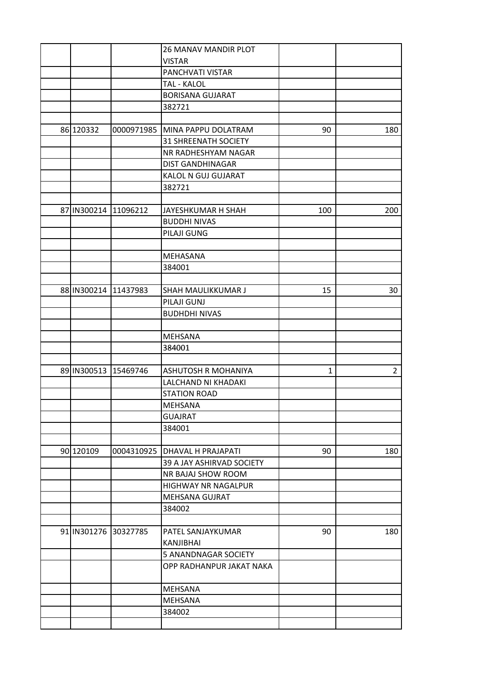|                      |                      | <b>26 MANAV MANDIR PLOT</b>     |              |                |
|----------------------|----------------------|---------------------------------|--------------|----------------|
|                      |                      | <b>VISTAR</b>                   |              |                |
|                      |                      | PANCHVATI VISTAR                |              |                |
|                      |                      | TAL - KALOL                     |              |                |
|                      |                      | <b>BORISANA GUJARAT</b>         |              |                |
|                      |                      | 382721                          |              |                |
|                      |                      |                                 |              |                |
| 86 120332            | 0000971985           | MINA PAPPU DOLATRAM             | 90           | 180            |
|                      |                      | <b>31 SHREENATH SOCIETY</b>     |              |                |
|                      |                      | NR RADHESHYAM NAGAR             |              |                |
|                      |                      | <b>DIST GANDHINAGAR</b>         |              |                |
|                      |                      | KALOL N GUJ GUJARAT             |              |                |
|                      |                      | 382721                          |              |                |
|                      |                      |                                 |              |                |
| 87 IN300214 11096212 |                      | JAYESHKUMAR H SHAH              | 100          | 200            |
|                      |                      | <b>BUDDHI NIVAS</b>             |              |                |
|                      |                      | PILAJI GUNG                     |              |                |
|                      |                      |                                 |              |                |
|                      |                      |                                 |              |                |
|                      |                      | MEHASANA                        |              |                |
|                      |                      | 384001                          |              |                |
|                      |                      |                                 |              |                |
|                      | 88 IN300214 11437983 | SHAH MAULIKKUMAR J              | 15           | 30             |
|                      |                      | PILAJI GUNJ                     |              |                |
|                      |                      | <b>BUDHDHI NIVAS</b>            |              |                |
|                      |                      |                                 |              |                |
|                      |                      | <b>MEHSANA</b>                  |              |                |
|                      |                      | 384001                          |              |                |
|                      |                      |                                 |              |                |
| 89 IN300513          | 15469746             | <b>ASHUTOSH R MOHANIYA</b>      | $\mathbf{1}$ | $\overline{2}$ |
|                      |                      | LALCHAND NI KHADAKI             |              |                |
|                      |                      | <b>STATION ROAD</b>             |              |                |
|                      |                      | MEHSANA                         |              |                |
|                      |                      | <b>GUAJRAT</b>                  |              |                |
|                      |                      | 384001                          |              |                |
|                      |                      |                                 |              |                |
| 90 120109            |                      | 0004310925   DHAVAL H PRAJAPATI | 90           | 180            |
|                      |                      | 39 A JAY ASHIRVAD SOCIETY       |              |                |
|                      |                      | NR BAJAJ SHOW ROOM              |              |                |
|                      |                      | HIGHWAY NR NAGALPUR             |              |                |
|                      |                      | MEHSANA GUJRAT                  |              |                |
|                      |                      | 384002                          |              |                |
|                      |                      |                                 |              |                |
|                      | 91 IN301276 30327785 | PATEL SANJAYKUMAR               | 90           | 180            |
|                      |                      | <b>KANJIBHAI</b>                |              |                |
|                      |                      | 5 ANANDNAGAR SOCIETY            |              |                |
|                      |                      | OPP RADHANPUR JAKAT NAKA        |              |                |
|                      |                      |                                 |              |                |
|                      |                      | MEHSANA                         |              |                |
|                      |                      | <b>MEHSANA</b>                  |              |                |
|                      |                      | 384002                          |              |                |
|                      |                      |                                 |              |                |
|                      |                      |                                 |              |                |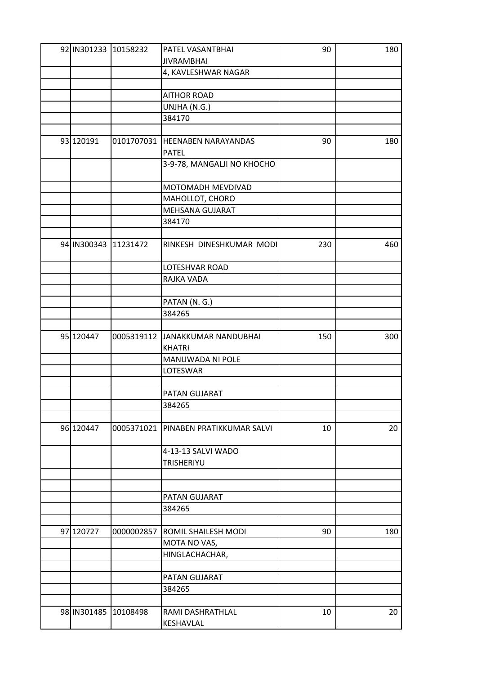|             | 92 IN301233 10158232 | PATEL VASANTBHAI                       | 90  | 180 |
|-------------|----------------------|----------------------------------------|-----|-----|
|             |                      | <b>JIVRAMBHAI</b>                      |     |     |
|             |                      | 4, KAVLESHWAR NAGAR                    |     |     |
|             |                      |                                        |     |     |
|             |                      | <b>AITHOR ROAD</b>                     |     |     |
|             |                      | UNJHA (N.G.)                           |     |     |
|             |                      | 384170                                 |     |     |
|             |                      |                                        |     |     |
| 93 120191   | 0101707031           | <b>HEENABEN NARAYANDAS</b>             | 90  | 180 |
|             |                      | <b>PATEL</b>                           |     |     |
|             |                      | 3-9-78, MANGALJI NO KHOCHO             |     |     |
|             |                      |                                        |     |     |
|             |                      | MOTOMADH MEVDIVAD                      |     |     |
|             |                      | MAHOLLOT, CHORO                        |     |     |
|             |                      | MEHSANA GUJARAT                        |     |     |
|             |                      |                                        |     |     |
|             |                      | 384170                                 |     |     |
|             |                      |                                        |     |     |
|             | 94 IN300343 11231472 | RINKESH DINESHKUMAR MODI               | 230 | 460 |
|             |                      |                                        |     |     |
|             |                      | LOTESHVAR ROAD                         |     |     |
|             |                      | RAJKA VADA                             |     |     |
|             |                      |                                        |     |     |
|             |                      | PATAN (N. G.)                          |     |     |
|             |                      | 384265                                 |     |     |
|             |                      |                                        |     |     |
| 95 120447   |                      | 0005319112 JANAKKUMAR NANDUBHAI        | 150 | 300 |
|             |                      | <b>KHATRI</b>                          |     |     |
|             |                      | MANUWADA NI POLE                       |     |     |
|             |                      | LOTESWAR                               |     |     |
|             |                      |                                        |     |     |
|             |                      | PATAN GUJARAT                          |     |     |
|             |                      | 384265                                 |     |     |
|             |                      |                                        |     |     |
| 96 120447   |                      | 0005371021   PINABEN PRATIKKUMAR SALVI | 10  | 20  |
|             |                      |                                        |     |     |
|             |                      | 4-13-13 SALVI WADO                     |     |     |
|             |                      | <b>TRISHERIYU</b>                      |     |     |
|             |                      |                                        |     |     |
|             |                      |                                        |     |     |
|             |                      | PATAN GUJARAT                          |     |     |
|             |                      | 384265                                 |     |     |
|             |                      |                                        |     |     |
| 97 120727   | 0000002857           | ROMIL SHAILESH MODI                    | 90  | 180 |
|             |                      |                                        |     |     |
|             |                      | MOTA NO VAS,                           |     |     |
|             |                      | HINGLACHACHAR,                         |     |     |
|             |                      |                                        |     |     |
|             |                      | PATAN GUJARAT                          |     |     |
|             |                      | 384265                                 |     |     |
|             |                      |                                        |     |     |
| 98 IN301485 | 10108498             | RAMI DASHRATHLAL                       | 10  | 20  |
|             |                      | KESHAVLAL                              |     |     |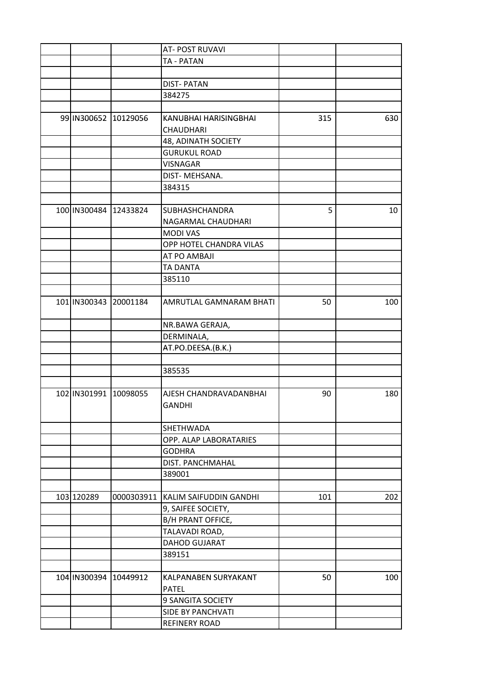|                           |          | AT- POST RUVAVI                   |     |     |
|---------------------------|----------|-----------------------------------|-----|-----|
|                           |          | TA - PATAN                        |     |     |
|                           |          |                                   |     |     |
|                           |          | <b>DIST-PATAN</b>                 |     |     |
|                           |          | 384275                            |     |     |
|                           |          |                                   |     |     |
| 99 IN300652               | 10129056 | KANUBHAI HARISINGBHAI             | 315 | 630 |
|                           |          | <b>CHAUDHARI</b>                  |     |     |
|                           |          | 48, ADINATH SOCIETY               |     |     |
|                           |          | <b>GURUKUL ROAD</b>               |     |     |
|                           |          | <b>VISNAGAR</b>                   |     |     |
|                           |          | DIST- MEHSANA.                    |     |     |
|                           |          | 384315                            |     |     |
|                           |          |                                   |     |     |
|                           |          |                                   | 5   |     |
| 100 IN300484 12433824     |          | <b>SUBHASHCHANDRA</b>             |     | 10  |
|                           |          | NAGARMAL CHAUDHARI                |     |     |
|                           |          | <b>MODI VAS</b>                   |     |     |
|                           |          | OPP HOTEL CHANDRA VILAS           |     |     |
|                           |          | AT PO AMBAJI                      |     |     |
|                           |          | <b>TA DANTA</b>                   |     |     |
|                           |          | 385110                            |     |     |
|                           |          |                                   |     |     |
| 101   IN300343   20001184 |          | AMRUTLAL GAMNARAM BHATI           | 50  | 100 |
|                           |          | NR.BAWA GERAJA,                   |     |     |
|                           |          | DERMINALA,                        |     |     |
|                           |          | AT.PO.DEESA.(B.K.)                |     |     |
|                           |          |                                   |     |     |
|                           |          | 385535                            |     |     |
|                           |          |                                   |     |     |
| 102 IN301991              | 10098055 | AJESH CHANDRAVADANBHAI<br>GANDHI  | 90  | 180 |
|                           |          | SHETHWADA                         |     |     |
|                           |          |                                   |     |     |
|                           |          | OPP. ALAP LABORATARIES            |     |     |
|                           |          | <b>GODHRA</b>                     |     |     |
|                           |          | DIST. PANCHMAHAL                  |     |     |
|                           |          | 389001                            |     |     |
|                           |          |                                   |     |     |
| 103 120289                |          | 0000303911 KALIM SAIFUDDIN GANDHI | 101 | 202 |
|                           |          | 9, SAIFEE SOCIETY,                |     |     |
|                           |          | B/H PRANT OFFICE,                 |     |     |
|                           |          | TALAVADI ROAD,                    |     |     |
|                           |          | DAHOD GUJARAT                     |     |     |
|                           |          | 389151                            |     |     |
|                           |          |                                   |     |     |
| 104 IN300394 10449912     |          | KALPANABEN SURYAKANT              | 50  | 100 |
|                           |          | <b>PATEL</b>                      |     |     |
|                           |          | 9 SANGITA SOCIETY                 |     |     |
|                           |          | <b>SIDE BY PANCHVATI</b>          |     |     |
|                           |          | <b>REFINERY ROAD</b>              |     |     |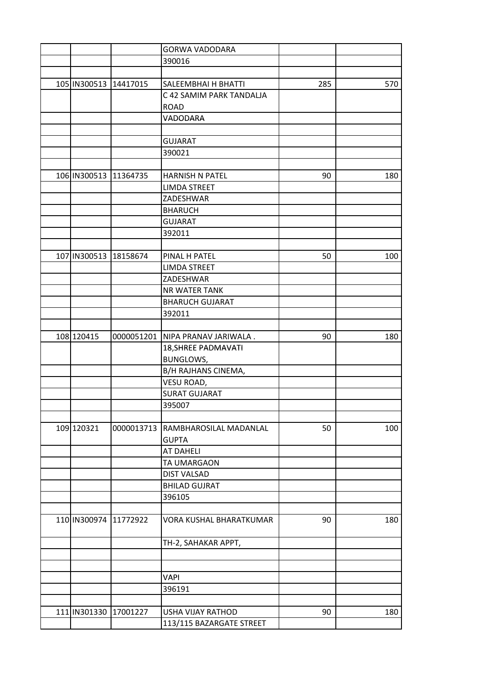|                       |            | <b>GORWA VADODARA</b>    |     |     |
|-----------------------|------------|--------------------------|-----|-----|
|                       |            | 390016                   |     |     |
|                       |            |                          |     |     |
| 105 IN300513          | 14417015   | SALEEMBHAI H BHATTI      | 285 | 570 |
|                       |            | C 42 SAMIM PARK TANDALJA |     |     |
|                       |            | <b>ROAD</b>              |     |     |
|                       |            | VADODARA                 |     |     |
|                       |            |                          |     |     |
|                       |            | <b>GUJARAT</b>           |     |     |
|                       |            | 390021                   |     |     |
|                       |            |                          |     |     |
| 106 IN300513 11364735 |            | HARNISH N PATEL          | 90  | 180 |
|                       |            | <b>LIMDA STREET</b>      |     |     |
|                       |            | ZADESHWAR                |     |     |
|                       |            | <b>BHARUCH</b>           |     |     |
|                       |            | <b>GUJARAT</b>           |     |     |
|                       |            | 392011                   |     |     |
|                       |            |                          |     |     |
| 107 IN300513          | 18158674   | PINAL H PATEL            | 50  | 100 |
|                       |            | <b>LIMDA STREET</b>      |     |     |
|                       |            | ZADESHWAR                |     |     |
|                       |            | NR WATER TANK            |     |     |
|                       |            | <b>BHARUCH GUJARAT</b>   |     |     |
|                       |            | 392011                   |     |     |
|                       |            |                          |     |     |
|                       |            |                          |     |     |
| 108 120415            | 0000051201 | NIPA PRANAV JARIWALA.    | 90  | 180 |
|                       |            | 18, SHREE PADMAVATI      |     |     |
|                       |            | BUNGLOWS,                |     |     |
|                       |            | B/H RAJHANS CINEMA,      |     |     |
|                       |            | VESU ROAD,               |     |     |
|                       |            | <b>SURAT GUJARAT</b>     |     |     |
|                       |            | 395007                   |     |     |
|                       |            |                          |     |     |
| 109 120321            | 0000013713 | RAMBHAROSILAL MADANLAL   | 50  | 100 |
|                       |            | <b>GUPTA</b>             |     |     |
|                       |            | <b>AT DAHELI</b>         |     |     |
|                       |            | TA UMARGAON              |     |     |
|                       |            | <b>DIST VALSAD</b>       |     |     |
|                       |            | <b>BHILAD GUJRAT</b>     |     |     |
|                       |            | 396105                   |     |     |
|                       |            |                          |     |     |
| 110 IN300974 11772922 |            | VORA KUSHAL BHARATKUMAR  | 90  | 180 |
|                       |            |                          |     |     |
|                       |            | TH-2, SAHAKAR APPT,      |     |     |
|                       |            |                          |     |     |
|                       |            |                          |     |     |
|                       |            | <b>VAPI</b>              |     |     |
|                       |            | 396191                   |     |     |
|                       |            |                          |     |     |
| 111 IN301330          | 17001227   | USHA VIJAY RATHOD        | 90  | 180 |
|                       |            | 113/115 BAZARGATE STREET |     |     |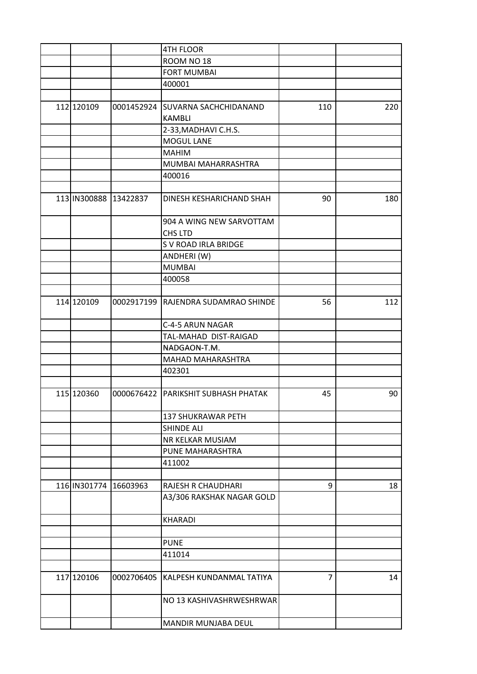|                       | <b>4TH FLOOR</b>                    |                |     |
|-----------------------|-------------------------------------|----------------|-----|
|                       | ROOM NO 18                          |                |     |
|                       | <b>FORT MUMBAI</b>                  |                |     |
|                       | 400001                              |                |     |
|                       |                                     |                |     |
| 112 120109            | 0001452924 SUVARNA SACHCHIDANAND    | 110            | 220 |
|                       | <b>KAMBLI</b>                       |                |     |
|                       | 2-33, MADHAVI C.H.S.                |                |     |
|                       | <b>MOGUL LANE</b>                   |                |     |
|                       | <b>MAHIM</b>                        |                |     |
|                       | MUMBAI MAHARRASHTRA                 |                |     |
|                       | 400016                              |                |     |
|                       |                                     |                |     |
| 113 IN300888 13422837 | DINESH KESHARICHAND SHAH            | 90             | 180 |
|                       | 904 A WING NEW SARVOTTAM            |                |     |
|                       | <b>CHS LTD</b>                      |                |     |
|                       | S V ROAD IRLA BRIDGE                |                |     |
|                       | ANDHERI (W)                         |                |     |
|                       | <b>MUMBAI</b>                       |                |     |
|                       |                                     |                |     |
|                       | 400058                              |                |     |
| 114 120109            | 0002917199 RAJENDRA SUDAMRAO SHINDE | 56             | 112 |
|                       | C-4-5 ARUN NAGAR                    |                |     |
|                       | TAL-MAHAD DIST-RAIGAD               |                |     |
|                       | NADGAON-T.M.                        |                |     |
|                       | <b>MAHAD MAHARASHTRA</b>            |                |     |
|                       | 402301                              |                |     |
|                       |                                     |                |     |
| 115 120360            | 0000676422 PARIKSHIT SUBHASH PHATAK | 45             | 90  |
|                       | 137 SHUKRAWAR PETH                  |                |     |
|                       | <b>SHINDE ALI</b>                   |                |     |
|                       | NR KELKAR MUSIAM                    |                |     |
|                       | PUNE MAHARASHTRA                    |                |     |
|                       | 411002                              |                |     |
|                       |                                     |                |     |
| 116 IN301774 16603963 | RAJESH R CHAUDHARI                  | 9              | 18  |
|                       | A3/306 RAKSHAK NAGAR GOLD           |                |     |
|                       | <b>KHARADI</b>                      |                |     |
|                       |                                     |                |     |
|                       | <b>PUNE</b>                         |                |     |
|                       | 411014                              |                |     |
|                       |                                     |                |     |
| 117 120106            | 0002706405 KALPESH KUNDANMAL TATIYA | $\overline{7}$ | 14  |
|                       | NO 13 KASHIVASHRWESHRWAR            |                |     |
|                       | MANDIR MUNJABA DEUL                 |                |     |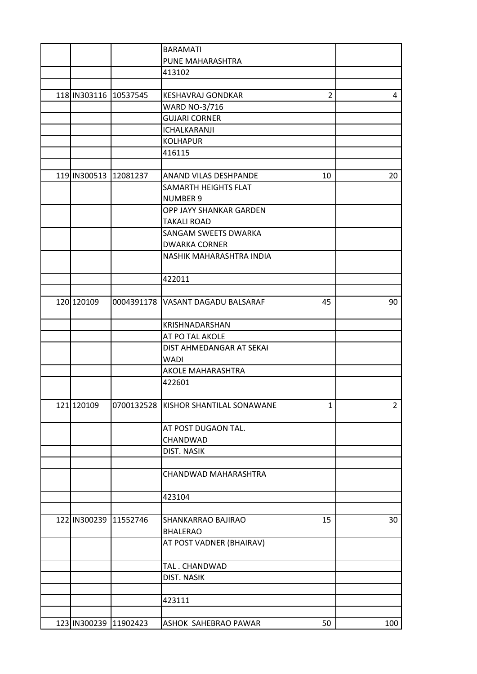|                       | <b>BARAMATI</b>                      |                |                |
|-----------------------|--------------------------------------|----------------|----------------|
|                       | PUNE MAHARASHTRA                     |                |                |
|                       | 413102                               |                |                |
|                       |                                      |                |                |
| 118 IN303116 10537545 | <b>KESHAVRAJ GONDKAR</b>             | $\overline{2}$ | 4              |
|                       | <b>WARD NO-3/716</b>                 |                |                |
|                       | <b>GUJARI CORNER</b>                 |                |                |
|                       | ICHALKARANJI                         |                |                |
|                       | <b>KOLHAPUR</b>                      |                |                |
|                       | 416115                               |                |                |
|                       |                                      |                |                |
| 119 IN300513 12081237 | ANAND VILAS DESHPANDE                | 10             | 20             |
|                       | <b>SAMARTH HEIGHTS FLAT</b>          |                |                |
|                       | <b>NUMBER 9</b>                      |                |                |
|                       | OPP JAYY SHANKAR GARDEN              |                |                |
|                       | <b>TAKALI ROAD</b>                   |                |                |
|                       | <b>SANGAM SWEETS DWARKA</b>          |                |                |
|                       | <b>DWARKA CORNER</b>                 |                |                |
|                       | NASHIK MAHARASHTRA INDIA             |                |                |
|                       | 422011                               |                |                |
|                       |                                      |                |                |
| 120 120109            | 0004391178   VASANT DAGADU BALSARAF  | 45             | 90             |
|                       | KRISHNADARSHAN                       |                |                |
|                       | AT PO TAL AKOLE                      |                |                |
|                       | DIST AHMEDANGAR AT SEKAI             |                |                |
|                       | <b>WADI</b>                          |                |                |
|                       | AKOLE MAHARASHTRA                    |                |                |
|                       | 422601                               |                |                |
|                       |                                      |                |                |
| 121 120109            | 0700132528 KISHOR SHANTILAL SONAWANE | $\mathbf{1}$   | $\overline{2}$ |
|                       | AT POST DUGAON TAL.                  |                |                |
|                       | CHANDWAD                             |                |                |
|                       | DIST. NASIK                          |                |                |
|                       |                                      |                |                |
|                       | CHANDWAD MAHARASHTRA                 |                |                |
|                       | 423104                               |                |                |
|                       |                                      |                |                |
| 122 IN300239 11552746 | SHANKARRAO BAJIRAO                   | 15             | 30             |
|                       | <b>BHALERAO</b>                      |                |                |
|                       | AT POST VADNER (BHAIRAV)             |                |                |
|                       | TAL. CHANDWAD                        |                |                |
|                       | DIST. NASIK                          |                |                |
|                       |                                      |                |                |
|                       | 423111                               |                |                |
|                       |                                      |                |                |
| 123 IN300239 11902423 | ASHOK SAHEBRAO PAWAR                 | 50             | 100            |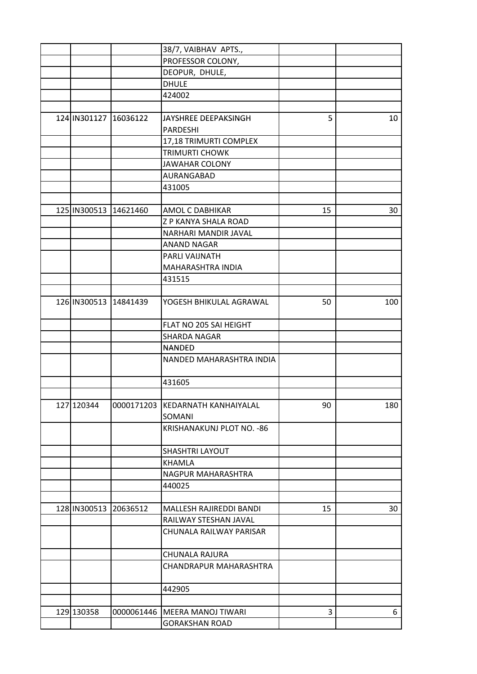|              |                       | 38/7, VAIBHAV APTS.,               |    |     |
|--------------|-----------------------|------------------------------------|----|-----|
|              |                       | PROFESSOR COLONY,                  |    |     |
|              |                       | DEOPUR, DHULE,                     |    |     |
|              |                       | <b>DHULE</b>                       |    |     |
|              |                       | 424002                             |    |     |
|              |                       |                                    |    |     |
| 124 IN301127 | 16036122              | JAYSHREE DEEPAKSINGH               | 5  | 10  |
|              |                       | <b>PARDESHI</b>                    |    |     |
|              |                       | 17,18 TRIMURTI COMPLEX             |    |     |
|              |                       | <b>TRIMURTI CHOWK</b>              |    |     |
|              |                       | <b>JAWAHAR COLONY</b>              |    |     |
|              |                       | AURANGABAD                         |    |     |
|              |                       | 431005                             |    |     |
|              |                       |                                    |    |     |
| 125 IN300513 | 14621460              | AMOL C DABHIKAR                    | 15 | 30  |
|              |                       | Z P KANYA SHALA ROAD               |    |     |
|              |                       | NARHARI MANDIR JAVAL               |    |     |
|              |                       | <b>ANAND NAGAR</b>                 |    |     |
|              |                       | PARLI VAIJNATH                     |    |     |
|              |                       | MAHARASHTRA INDIA                  |    |     |
|              |                       | 431515                             |    |     |
|              |                       |                                    |    |     |
|              | 126 IN300513 14841439 | YOGESH BHIKULAL AGRAWAL            | 50 | 100 |
|              |                       | FLAT NO 205 SAI HEIGHT             |    |     |
|              |                       | <b>SHARDA NAGAR</b>                |    |     |
|              |                       | <b>NANDED</b>                      |    |     |
|              |                       | NANDED MAHARASHTRA INDIA           |    |     |
|              |                       |                                    |    |     |
|              |                       | 431605                             |    |     |
|              |                       |                                    |    |     |
| 127 120344   |                       | 0000171203   KEDARNATH KANHAIYALAL | 90 | 180 |
|              |                       | SOMANI                             |    |     |
|              |                       | KRISHANAKUNJ PLOT NO. - 86         |    |     |
|              |                       |                                    |    |     |
|              |                       | <b>SHASHTRI LAYOUT</b>             |    |     |
|              |                       | <b>KHAMLA</b>                      |    |     |
|              |                       | NAGPUR MAHARASHTRA                 |    |     |
|              |                       | 440025                             |    |     |
|              |                       |                                    |    |     |
| 128 IN300513 | 20636512              | MALLESH RAJIREDDI BANDI            | 15 | 30  |
|              |                       | RAILWAY STESHAN JAVAL              |    |     |
|              |                       | CHUNALA RAILWAY PARISAR            |    |     |
|              |                       |                                    |    |     |
|              |                       | CHUNALA RAJURA                     |    |     |
|              |                       |                                    |    |     |
|              |                       | CHANDRAPUR MAHARASHTRA             |    |     |
|              |                       | 442905                             |    |     |
|              |                       |                                    |    |     |
| 129 130358   | 0000061446            | MEERA MANOJ TIWARI                 | 3  | 6   |
|              |                       | <b>GORAKSHAN ROAD</b>              |    |     |
|              |                       |                                    |    |     |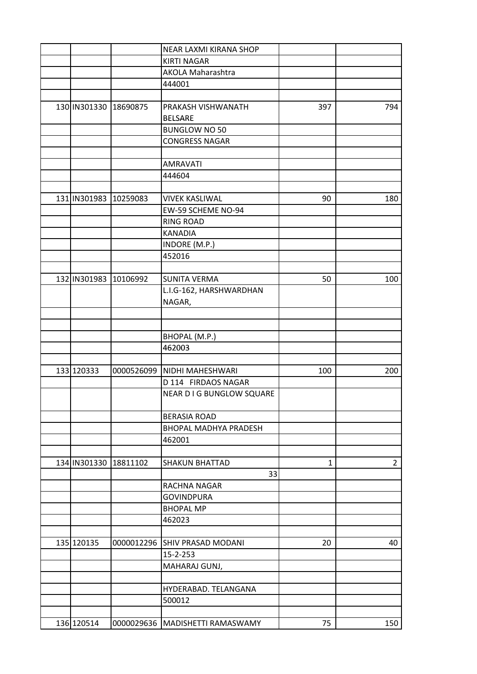|                       |            | NEAR LAXMI KIRANA SHOP            |              |                |
|-----------------------|------------|-----------------------------------|--------------|----------------|
|                       |            | <b>KIRTI NAGAR</b>                |              |                |
|                       |            | <b>AKOLA Maharashtra</b>          |              |                |
|                       |            | 444001                            |              |                |
|                       |            |                                   |              |                |
| 130 IN301330 18690875 |            | PRAKASH VISHWANATH                | 397          | 794            |
|                       |            | <b>BELSARE</b>                    |              |                |
|                       |            | <b>BUNGLOW NO 50</b>              |              |                |
|                       |            | <b>CONGRESS NAGAR</b>             |              |                |
|                       |            |                                   |              |                |
|                       |            | <b>AMRAVATI</b>                   |              |                |
|                       |            | 444604                            |              |                |
|                       |            |                                   |              |                |
| 131 IN301983          | 10259083   | <b>VIVEK KASLIWAL</b>             | 90           | 180            |
|                       |            | EW-59 SCHEME NO-94                |              |                |
|                       |            | <b>RING ROAD</b>                  |              |                |
|                       |            | <b>KANADIA</b>                    |              |                |
|                       |            | INDORE (M.P.)                     |              |                |
|                       |            | 452016                            |              |                |
|                       |            |                                   |              |                |
| 132 IN301983          | 10106992   | <b>SUNITA VERMA</b>               | 50           | 100            |
|                       |            | L.I.G-162, HARSHWARDHAN           |              |                |
|                       |            | NAGAR,                            |              |                |
|                       |            |                                   |              |                |
|                       |            |                                   |              |                |
|                       |            | BHOPAL (M.P.)                     |              |                |
|                       |            | 462003                            |              |                |
|                       |            |                                   |              |                |
| 133 120333            |            | 0000526099 NIDHI MAHESHWARI       | 100          | 200            |
|                       |            | D 114 FIRDAOS NAGAR               |              |                |
|                       |            | NEAR D I G BUNGLOW SQUARE         |              |                |
|                       |            |                                   |              |                |
|                       |            | <b>BERASIA ROAD</b>               |              |                |
|                       |            | <b>BHOPAL MADHYA PRADESH</b>      |              |                |
|                       |            |                                   |              |                |
|                       |            | 462001                            |              |                |
| 134 IN301330          | 18811102   |                                   | $\mathbf{1}$ |                |
|                       |            | <b>SHAKUN BHATTAD</b>             |              | $\overline{2}$ |
|                       |            | 33                                |              |                |
|                       |            | RACHNA NAGAR                      |              |                |
|                       |            | <b>GOVINDPURA</b>                 |              |                |
|                       |            | <b>BHOPAL MP</b>                  |              |                |
|                       |            | 462023                            |              |                |
|                       |            |                                   |              |                |
| 135 120135            | 0000012296 | <b>SHIV PRASAD MODANI</b>         | 20           | 40             |
|                       |            | 15-2-253                          |              |                |
|                       |            | MAHARAJ GUNJ,                     |              |                |
|                       |            |                                   |              |                |
|                       |            | HYDERABAD. TELANGANA              |              |                |
|                       |            | 500012                            |              |                |
|                       |            |                                   |              |                |
| 136 120514            |            | 0000029636   MADISHETTI RAMASWAMY | 75           | 150            |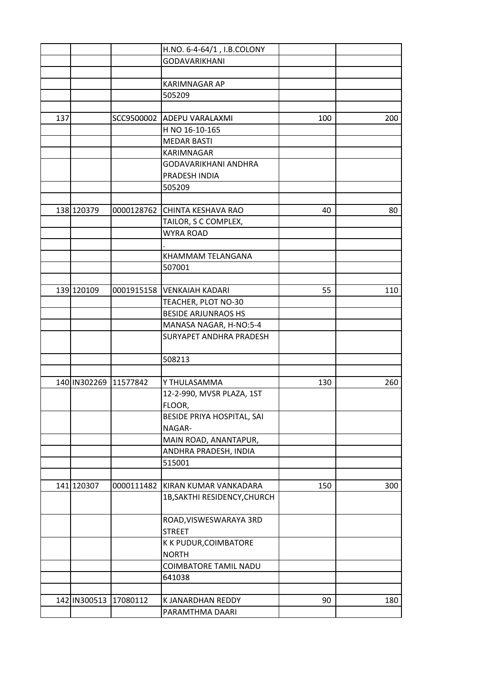|     |              |            | H.NO. 6-4-64/1, I.B.COLONY   |     |     |
|-----|--------------|------------|------------------------------|-----|-----|
|     |              |            | <b>GODAVARIKHANI</b>         |     |     |
|     |              |            |                              |     |     |
|     |              |            | <b>KARIMNAGAR AP</b>         |     |     |
|     |              |            | 505209                       |     |     |
|     |              |            |                              |     |     |
| 137 |              |            | SCC9500002 ADEPU VARALAXMI   | 100 | 200 |
|     |              |            | H NO 16-10-165               |     |     |
|     |              |            | <b>MEDAR BASTI</b>           |     |     |
|     |              |            | KARIMNAGAR                   |     |     |
|     |              |            | GODAVARIKHANI ANDHRA         |     |     |
|     |              |            | PRADESH INDIA                |     |     |
|     |              |            | 505209                       |     |     |
|     |              |            |                              |     |     |
|     | 138 120379   | 0000128762 | <b>CHINTA KESHAVA RAO</b>    | 40  | 80  |
|     |              |            | TAILOR, S C COMPLEX,         |     |     |
|     |              |            | <b>WYRA ROAD</b>             |     |     |
|     |              |            |                              |     |     |
|     |              |            | KHAMMAM TELANGANA            |     |     |
|     |              |            | 507001                       |     |     |
|     |              |            |                              |     |     |
|     | 139 120109   |            | 0001915158 VENKAIAH KADARI   | 55  | 110 |
|     |              |            | TEACHER, PLOT NO-30          |     |     |
|     |              |            | <b>BESIDE ARJUNRAOS HS</b>   |     |     |
|     |              |            | MANASA NAGAR, H-NO:5-4       |     |     |
|     |              |            | SURYAPET ANDHRA PRADESH      |     |     |
|     |              |            |                              |     |     |
|     |              |            | 508213                       |     |     |
|     |              |            |                              |     |     |
|     | 140 IN302269 | 11577842   | Y THULASAMMA                 | 130 | 260 |
|     |              |            |                              |     |     |
|     |              |            | 12-2-990, MVSR PLAZA, 1ST    |     |     |
|     |              |            | FLOOR,                       |     |     |
|     |              |            | BESIDE PRIYA HOSPITAL, SAI   |     |     |
|     |              |            | NAGAR-                       |     |     |
|     |              |            | MAIN ROAD, ANANTAPUR,        |     |     |
|     |              |            | ANDHRA PRADESH, INDIA        |     |     |
|     |              |            | 515001                       |     |     |
|     |              |            |                              |     |     |
|     | 141 120307   | 0000111482 | KIRAN KUMAR VANKADARA        | 150 | 300 |
|     |              |            | 1B, SAKTHI RESIDENCY, CHURCH |     |     |
|     |              |            |                              |     |     |
|     |              |            | ROAD, VISWESWARAYA 3RD       |     |     |
|     |              |            | <b>STREET</b>                |     |     |
|     |              |            | K K PUDUR, COIMBATORE        |     |     |
|     |              |            | <b>NORTH</b>                 |     |     |
|     |              |            | COIMBATORE TAMIL NADU        |     |     |
|     |              |            | 641038                       |     |     |
|     |              |            |                              |     |     |
|     | 142 IN300513 | 17080112   | K JANARDHAN REDDY            | 90  | 180 |
|     |              |            | PARAMTHMA DAARI              |     |     |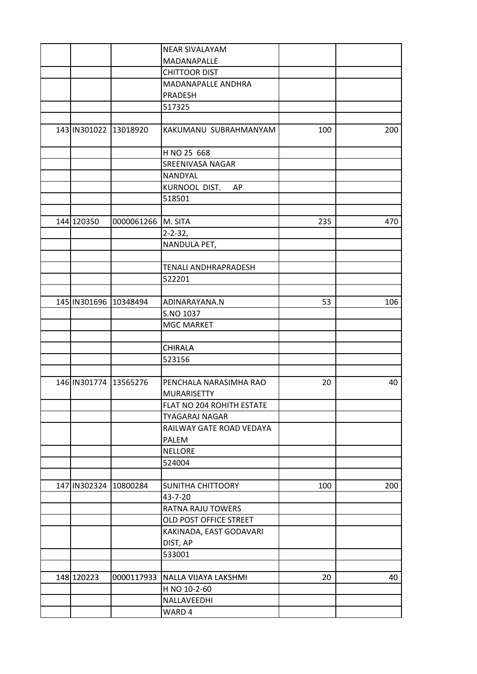|                       |                       | <b>NEAR SIVALAYAM</b>       |     |     |
|-----------------------|-----------------------|-----------------------------|-----|-----|
|                       |                       | MADANAPALLE                 |     |     |
|                       |                       | <b>CHITTOOR DIST</b>        |     |     |
|                       |                       | MADANAPALLE ANDHRA          |     |     |
|                       |                       | PRADESH                     |     |     |
|                       |                       | 517325                      |     |     |
|                       |                       |                             |     |     |
|                       | 143 IN301022 13018920 | KAKUMANU SUBRAHMANYAM       | 100 | 200 |
|                       |                       | H NO 25 668                 |     |     |
|                       |                       | SREENIVASA NAGAR            |     |     |
|                       |                       | NANDYAL                     |     |     |
|                       |                       | KURNOOL DIST.<br>AP         |     |     |
|                       |                       | 518501                      |     |     |
|                       |                       |                             |     |     |
| 144 120350            | 0000061266            | M. SITA                     | 235 | 470 |
|                       |                       | $2 - 2 - 32,$               |     |     |
|                       |                       | NANDULA PET,                |     |     |
|                       |                       |                             |     |     |
|                       |                       | <b>TENALI ANDHRAPRADESH</b> |     |     |
|                       |                       | 522201                      |     |     |
|                       |                       |                             |     |     |
| 145 IN301696 10348494 |                       | ADINARAYANA.N               | 53  | 106 |
|                       |                       | S.NO 1037                   |     |     |
|                       |                       | <b>MGC MARKET</b>           |     |     |
|                       |                       |                             |     |     |
|                       |                       | CHIRALA                     |     |     |
|                       |                       | 523156                      |     |     |
|                       |                       |                             |     |     |
| 146 IN301774 13565276 |                       | PENCHALA NARASIMHA RAO      | 20  | 40  |
|                       |                       | <b>MURARISETTY</b>          |     |     |
|                       |                       | FLAT NO 204 ROHITH ESTATE   |     |     |
|                       |                       | <b>TYAGARAJ NAGAR</b>       |     |     |
|                       |                       | RAILWAY GATE ROAD VEDAYA    |     |     |
|                       |                       | PALEM                       |     |     |
|                       |                       | NELLORE                     |     |     |
|                       |                       | 524004                      |     |     |
|                       |                       |                             |     |     |
| 147 IN302324          | 10800284              | <b>SUNITHA CHITTOORY</b>    | 100 | 200 |
|                       |                       | 43-7-20                     |     |     |
|                       |                       | RATNA RAJU TOWERS           |     |     |
|                       |                       | OLD POST OFFICE STREET      |     |     |
|                       |                       | KAKINADA, EAST GODAVARI     |     |     |
|                       |                       | DIST, AP                    |     |     |
|                       |                       | 533001                      |     |     |
|                       |                       |                             |     |     |
| 148 120223            | 0000117933            | NALLA VIJAYA LAKSHMI        | 20  | 40  |
|                       |                       | H NO 10-2-60                |     |     |
|                       |                       | NALLAVEEDHI                 |     |     |
|                       |                       | WARD 4                      |     |     |
|                       |                       |                             |     |     |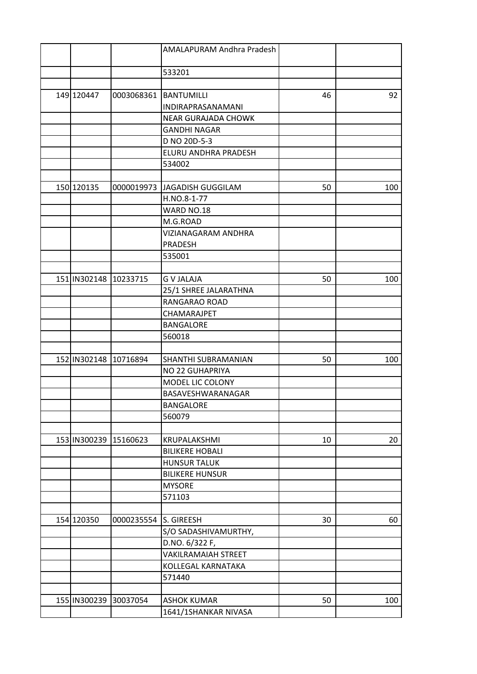|                       |            | AMALAPURAM Andhra Pradesh  |    |     |
|-----------------------|------------|----------------------------|----|-----|
|                       |            | 533201                     |    |     |
|                       |            |                            |    |     |
| 149 120447            | 0003068361 | <b>BANTUMILLI</b>          | 46 | 92  |
|                       |            | INDIRAPRASANAMANI          |    |     |
|                       |            | <b>NEAR GURAJADA CHOWK</b> |    |     |
|                       |            | <b>GANDHI NAGAR</b>        |    |     |
|                       |            | D NO 20D-5-3               |    |     |
|                       |            | ELURU ANDHRA PRADESH       |    |     |
|                       |            | 534002                     |    |     |
|                       |            |                            |    |     |
| 150 120135            | 0000019973 | JAGADISH GUGGILAM          | 50 | 100 |
|                       |            | H.NO.8-1-77                |    |     |
|                       |            | WARD NO.18                 |    |     |
|                       |            | M.G.ROAD                   |    |     |
|                       |            | VIZIANAGARAM ANDHRA        |    |     |
|                       |            | PRADESH                    |    |     |
|                       |            | 535001                     |    |     |
|                       |            |                            |    |     |
| 151 IN302148          | 10233715   | <b>G V JALAJA</b>          | 50 | 100 |
|                       |            | 25/1 SHREE JALARATHNA      |    |     |
|                       |            | RANGARAO ROAD              |    |     |
|                       |            | CHAMARAJPET                |    |     |
|                       |            | <b>BANGALORE</b>           |    |     |
|                       |            | 560018                     |    |     |
|                       |            |                            |    |     |
| 152 IN302148          | 10716894   | SHANTHI SUBRAMANIAN        | 50 | 100 |
|                       |            | NO 22 GUHAPRIYA            |    |     |
|                       |            | MODEL LIC COLONY           |    |     |
|                       |            | BASAVESHWARANAGAR          |    |     |
|                       |            | <b>BANGALORE</b>           |    |     |
|                       |            | 560079                     |    |     |
|                       |            |                            |    |     |
| 153 IN300239 15160623 |            | KRUPALAKSHMI               | 10 | 20  |
|                       |            | <b>BILIKERE HOBALI</b>     |    |     |
|                       |            | <b>HUNSUR TALUK</b>        |    |     |
|                       |            | <b>BILIKERE HUNSUR</b>     |    |     |
|                       |            | <b>MYSORE</b>              |    |     |
|                       |            | 571103                     |    |     |
|                       |            |                            |    |     |
| 154 120350            | 0000235554 | S. GIREESH                 | 30 | 60  |
|                       |            | S/O SADASHIVAMURTHY,       |    |     |
|                       |            | D.NO. 6/322 F,             |    |     |
|                       |            | <b>VAKILRAMAIAH STREET</b> |    |     |
|                       |            | KOLLEGAL KARNATAKA         |    |     |
|                       |            | 571440                     |    |     |
|                       |            |                            |    |     |
| 155 IN300239          | 30037054   | <b>ASHOK KUMAR</b>         | 50 | 100 |
|                       |            | 1641/1SHANKAR NIVASA       |    |     |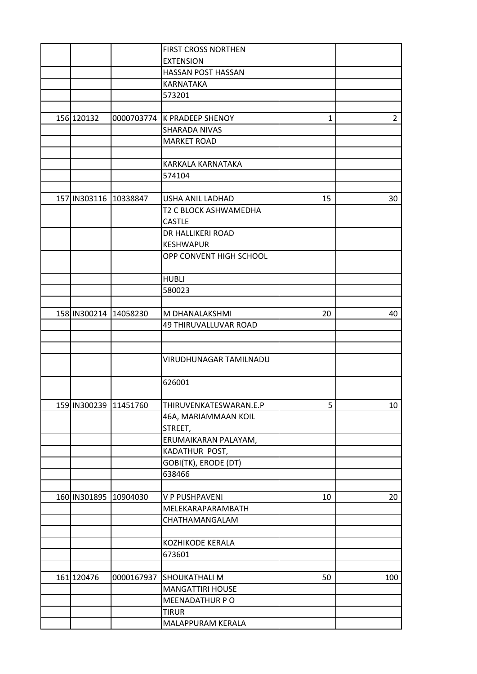|            |                       | <b>FIRST CROSS NORTHEN</b>  |              |                 |
|------------|-----------------------|-----------------------------|--------------|-----------------|
|            |                       | <b>EXTENSION</b>            |              |                 |
|            |                       | HASSAN POST HASSAN          |              |                 |
|            |                       | KARNATAKA                   |              |                 |
|            |                       | 573201                      |              |                 |
|            |                       |                             |              |                 |
| 156 120132 |                       | 0000703774 K PRADEEP SHENOY | $\mathbf{1}$ | $\overline{2}$  |
|            |                       | <b>SHARADA NIVAS</b>        |              |                 |
|            |                       | <b>MARKET ROAD</b>          |              |                 |
|            |                       |                             |              |                 |
|            |                       | KARKALA KARNATAKA           |              |                 |
|            |                       | 574104                      |              |                 |
|            |                       |                             |              |                 |
|            | 157 IN303116 10338847 | USHA ANIL LADHAD            | 15           | 30              |
|            |                       | T2 C BLOCK ASHWAMEDHA       |              |                 |
|            |                       | <b>CASTLE</b>               |              |                 |
|            |                       | DR HALLIKERI ROAD           |              |                 |
|            |                       |                             |              |                 |
|            |                       | <b>KESHWAPUR</b>            |              |                 |
|            |                       | OPP CONVENT HIGH SCHOOL     |              |                 |
|            |                       | <b>HUBLI</b>                |              |                 |
|            |                       | 580023                      |              |                 |
|            |                       |                             |              |                 |
|            | 158 IN300214 14058230 | M DHANALAKSHMI              | 20           | 40              |
|            |                       | 49 THIRUVALLUVAR ROAD       |              |                 |
|            |                       |                             |              |                 |
|            |                       |                             |              |                 |
|            |                       | VIRUDHUNAGAR TAMILNADU      |              |                 |
|            |                       | 626001                      |              |                 |
|            |                       |                             |              |                 |
|            | 159 IN300239 11451760 | THIRUVENKATESWARAN.E.P      | 5            | 10 <sub>1</sub> |
|            |                       | 46A, MARIAMMAAN KOIL        |              |                 |
|            |                       |                             |              |                 |
|            |                       | STREET,                     |              |                 |
|            |                       | ERUMAIKARAN PALAYAM,        |              |                 |
|            |                       | KADATHUR POST,              |              |                 |
|            |                       | GOBI(TK), ERODE (DT)        |              |                 |
|            |                       | 638466                      |              |                 |
|            | 160 IN301895 10904030 | V P PUSHPAVENI              | 10           | 20              |
|            |                       | MELEKARAPARAMBATH           |              |                 |
|            |                       | CHATHAMANGALAM              |              |                 |
|            |                       |                             |              |                 |
|            |                       | KOZHIKODE KERALA            |              |                 |
|            |                       | 673601                      |              |                 |
|            |                       |                             |              |                 |
| 161 120476 | 0000167937            | <b>SHOUKATHALI M</b>        | 50           | 100             |
|            |                       | <b>MANGATTIRI HOUSE</b>     |              |                 |
|            |                       | MEENADATHUR PO              |              |                 |
|            |                       | <b>TIRUR</b>                |              |                 |
|            |                       | MALAPPURAM KERALA           |              |                 |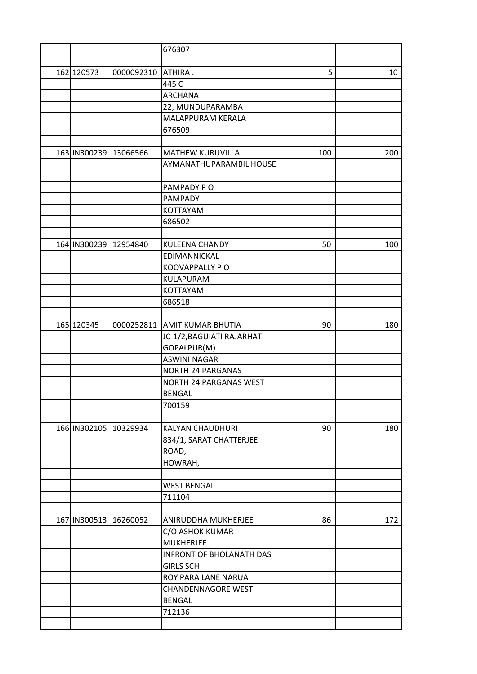|                       |            | 676307                          |     |     |
|-----------------------|------------|---------------------------------|-----|-----|
|                       |            |                                 |     |     |
| 162 120573            | 0000092310 | ATHIRA.                         | 5   | 10  |
|                       |            | 445 C                           |     |     |
|                       |            | <b>ARCHANA</b>                  |     |     |
|                       |            | 22, MUNDUPARAMBA                |     |     |
|                       |            | MALAPPURAM KERALA               |     |     |
|                       |            | 676509                          |     |     |
|                       |            |                                 |     |     |
| 163 IN300239          | 13066566   | <b>MATHEW KURUVILLA</b>         | 100 | 200 |
|                       |            | AYMANATHUPARAMBIL HOUSE         |     |     |
|                       |            | PAMPADY PO                      |     |     |
|                       |            | PAMPADY                         |     |     |
|                       |            | KOTTAYAM                        |     |     |
|                       |            | 686502                          |     |     |
|                       |            |                                 |     |     |
| 164 IN300239          | 12954840   | <b>KULEENA CHANDY</b>           | 50  | 100 |
|                       |            | EDIMANNICKAL                    |     |     |
|                       |            | KOOVAPPALLY PO                  |     |     |
|                       |            | KULAPURAM                       |     |     |
|                       |            | KOTTAYAM                        |     |     |
|                       |            | 686518                          |     |     |
|                       |            |                                 |     |     |
| 165 120345            |            | 0000252811 AMIT KUMAR BHUTIA    | 90  | 180 |
|                       |            | JC-1/2, BAGUIATI RAJARHAT-      |     |     |
|                       |            | GOPALPUR(M)                     |     |     |
|                       |            | <b>ASWINI NAGAR</b>             |     |     |
|                       |            | <b>NORTH 24 PARGANAS</b>        |     |     |
|                       |            | <b>NORTH 24 PARGANAS WEST</b>   |     |     |
|                       |            | <b>BENGAL</b>                   |     |     |
|                       |            | 700159                          |     |     |
|                       |            |                                 |     |     |
| 166 IN302105 10329934 |            | KALYAN CHAUDHURI                | 90  | 180 |
|                       |            | 834/1, SARAT CHATTERJEE         |     |     |
|                       |            | ROAD,                           |     |     |
|                       |            | HOWRAH,                         |     |     |
|                       |            |                                 |     |     |
|                       |            | <b>WEST BENGAL</b>              |     |     |
|                       |            | 711104                          |     |     |
|                       |            |                                 |     |     |
| 167 IN300513 16260052 |            | ANIRUDDHA MUKHERJEE             | 86  | 172 |
|                       |            | C/O ASHOK KUMAR                 |     |     |
|                       |            | <b>MUKHERJEE</b>                |     |     |
|                       |            | <b>INFRONT OF BHOLANATH DAS</b> |     |     |
|                       |            | <b>GIRLS SCH</b>                |     |     |
|                       |            | ROY PARA LANE NARUA             |     |     |
|                       |            | <b>CHANDENNAGORE WEST</b>       |     |     |
|                       |            | <b>BENGAL</b>                   |     |     |
|                       |            | 712136                          |     |     |
|                       |            |                                 |     |     |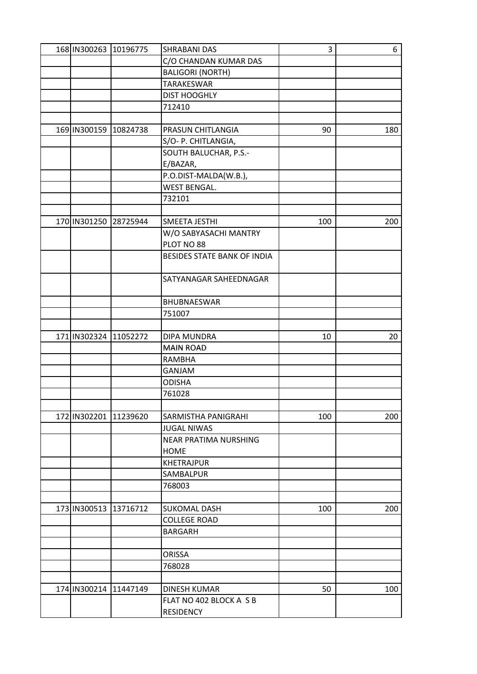| 168 IN300263 10196775 |          | <b>SHRABANI DAS</b>         | 3   | 6   |
|-----------------------|----------|-----------------------------|-----|-----|
|                       |          | C/O CHANDAN KUMAR DAS       |     |     |
|                       |          | <b>BALIGORI (NORTH)</b>     |     |     |
|                       |          | <b>TARAKESWAR</b>           |     |     |
|                       |          | <b>DIST HOOGHLY</b>         |     |     |
|                       |          | 712410                      |     |     |
|                       |          |                             |     |     |
| 169 IN300159          | 10824738 | PRASUN CHITLANGIA           | 90  | 180 |
|                       |          | S/O- P. CHITLANGIA,         |     |     |
|                       |          | SOUTH BALUCHAR, P.S.-       |     |     |
|                       |          | E/BAZAR,                    |     |     |
|                       |          | P.O.DIST-MALDA(W.B.),       |     |     |
|                       |          | <b>WEST BENGAL.</b>         |     |     |
|                       |          | 732101                      |     |     |
|                       |          |                             |     |     |
| 170 IN301250          | 28725944 | SMEETA JESTHI               | 100 | 200 |
|                       |          | W/O SABYASACHI MANTRY       |     |     |
|                       |          | PLOT NO 88                  |     |     |
|                       |          | BESIDES STATE BANK OF INDIA |     |     |
|                       |          | SATYANAGAR SAHEEDNAGAR      |     |     |
|                       |          | BHUBNAESWAR                 |     |     |
|                       |          | 751007                      |     |     |
|                       |          |                             |     |     |
| 171 IN302324          | 11052272 | DIPA MUNDRA                 | 10  | 20  |
|                       |          | <b>MAIN ROAD</b>            |     |     |
|                       |          | <b>RAMBHA</b>               |     |     |
|                       |          | GANJAM                      |     |     |
|                       |          | <b>ODISHA</b>               |     |     |
|                       |          | 761028                      |     |     |
|                       |          |                             |     |     |
| 172 IN302201          | 11239620 | SARMISTHA PANIGRAHI         | 100 | 200 |
|                       |          | <b>JUGAL NIWAS</b>          |     |     |
|                       |          | NEAR PRATIMA NURSHING       |     |     |
|                       |          | HOME                        |     |     |
|                       |          | <b>KHETRAJPUR</b>           |     |     |
|                       |          | SAMBALPUR                   |     |     |
|                       |          | 768003                      |     |     |
|                       |          |                             |     |     |
| 173 IN300513          | 13716712 | <b>SUKOMAL DASH</b>         | 100 | 200 |
|                       |          | <b>COLLEGE ROAD</b>         |     |     |
|                       |          | <b>BARGARH</b>              |     |     |
|                       |          |                             |     |     |
|                       |          | <b>ORISSA</b>               |     |     |
|                       |          | 768028                      |     |     |
|                       |          |                             |     |     |
| 174 IN300214 11447149 |          | <b>DINESH KUMAR</b>         | 50  | 100 |
|                       |          | FLAT NO 402 BLOCK A S B     |     |     |
|                       |          | <b>RESIDENCY</b>            |     |     |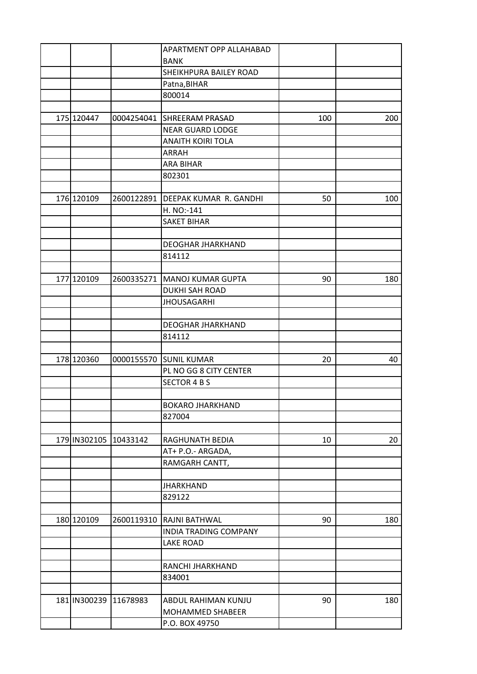|              |                       | <b>APARTMENT OPP ALLAHABAD</b>      |     |     |
|--------------|-----------------------|-------------------------------------|-----|-----|
|              |                       | <b>BANK</b>                         |     |     |
|              |                       | SHEIKHPURA BAILEY ROAD              |     |     |
|              |                       | Patna, BIHAR                        |     |     |
|              |                       | 800014                              |     |     |
|              |                       |                                     |     |     |
| 175 120447   |                       | 0004254041 SHREERAM PRASAD          | 100 | 200 |
|              |                       | NEAR GUARD LODGE                    |     |     |
|              |                       | <b>ANAITH KOIRI TOLA</b>            |     |     |
|              |                       | ARRAH                               |     |     |
|              |                       | <b>ARA BIHAR</b>                    |     |     |
|              |                       | 802301                              |     |     |
|              |                       |                                     |     |     |
| 176 120109   |                       | 2600122891   DEEPAK KUMAR R. GANDHI | 50  | 100 |
|              |                       | H. NO:-141                          |     |     |
|              |                       | <b>SAKET BIHAR</b>                  |     |     |
|              |                       |                                     |     |     |
|              |                       | <b>DEOGHAR JHARKHAND</b>            |     |     |
|              |                       | 814112                              |     |     |
|              |                       |                                     |     |     |
| 177 120109   |                       | 2600335271   MANOJ KUMAR GUPTA      | 90  | 180 |
|              |                       | <b>DUKHI SAH ROAD</b>               |     |     |
|              |                       | <b>JHOUSAGARHI</b>                  |     |     |
|              |                       |                                     |     |     |
|              |                       | <b>DEOGHAR JHARKHAND</b>            |     |     |
|              |                       | 814112                              |     |     |
|              |                       |                                     |     |     |
| 178 120360   |                       | 0000155570 SUNIL KUMAR              | 20  | 40  |
|              |                       | PL NO GG 8 CITY CENTER              |     |     |
|              |                       | <b>SECTOR 4 B S</b>                 |     |     |
|              |                       |                                     |     |     |
|              |                       | <b>BOKARO JHARKHAND</b>             |     |     |
|              |                       | 827004                              |     |     |
|              |                       |                                     |     |     |
|              | 179 IN302105 10433142 | RAGHUNATH BEDIA                     | 10  | 20  |
|              |                       | AT+ P.O.- ARGADA,                   |     |     |
|              |                       | RAMGARH CANTT,                      |     |     |
|              |                       |                                     |     |     |
|              |                       | <b>JHARKHAND</b>                    |     |     |
|              |                       | 829122                              |     |     |
|              |                       |                                     |     |     |
| 180 120109   | 2600119310            | RAJNI BATHWAL                       | 90  | 180 |
|              |                       | INDIA TRADING COMPANY               |     |     |
|              |                       |                                     |     |     |
|              |                       | <b>LAKE ROAD</b>                    |     |     |
|              |                       |                                     |     |     |
|              |                       | RANCHI JHARKHAND                    |     |     |
|              |                       | 834001                              |     |     |
|              |                       |                                     |     |     |
| 181 IN300239 | 11678983              | ABDUL RAHIMAN KUNJU                 | 90  | 180 |
|              |                       | MOHAMMED SHABEER                    |     |     |
|              |                       | P.O. BOX 49750                      |     |     |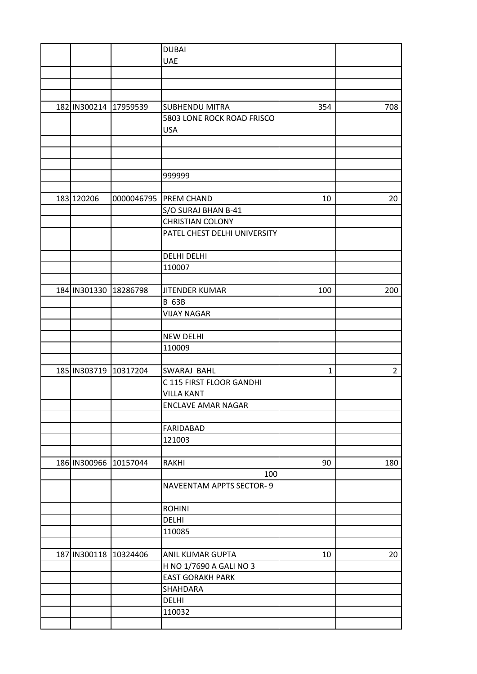|              |                       | <b>DUBAI</b>                    |              |                |
|--------------|-----------------------|---------------------------------|--------------|----------------|
|              |                       | <b>UAE</b>                      |              |                |
|              |                       |                                 |              |                |
|              |                       |                                 |              |                |
|              |                       |                                 |              |                |
| 182 IN300214 | 17959539              | <b>SUBHENDU MITRA</b>           | 354          | 708            |
|              |                       | 5803 LONE ROCK ROAD FRISCO      |              |                |
|              |                       | <b>USA</b>                      |              |                |
|              |                       |                                 |              |                |
|              |                       |                                 |              |                |
|              |                       |                                 |              |                |
|              |                       | 999999                          |              |                |
|              |                       |                                 |              |                |
| 183 120206   |                       | 0000046795 PREM CHAND           | 10           | 20             |
|              |                       | S/O SURAJ BHAN B-41             |              |                |
|              |                       |                                 |              |                |
|              |                       | <b>CHRISTIAN COLONY</b>         |              |                |
|              |                       | PATEL CHEST DELHI UNIVERSITY    |              |                |
|              |                       |                                 |              |                |
|              |                       | <b>DELHI DELHI</b>              |              |                |
|              |                       | 110007                          |              |                |
|              |                       |                                 |              |                |
| 184 IN301330 | 18286798              | <b>JITENDER KUMAR</b>           | 100          | 200            |
|              |                       | <b>B 63B</b>                    |              |                |
|              |                       | <b>VIJAY NAGAR</b>              |              |                |
|              |                       |                                 |              |                |
|              |                       | <b>NEW DELHI</b>                |              |                |
|              |                       | 110009                          |              |                |
|              |                       |                                 |              |                |
| 185 IN303719 | 10317204              | <b>SWARAJ BAHL</b>              | $\mathbf{1}$ | $\overline{2}$ |
|              |                       | C 115 FIRST FLOOR GANDHI        |              |                |
|              |                       | <b>VILLA KANT</b>               |              |                |
|              |                       | ENCLAVE AMAR NAGAR              |              |                |
|              |                       |                                 |              |                |
|              |                       | <b>FARIDABAD</b>                |              |                |
|              |                       | 121003                          |              |                |
|              |                       |                                 |              |                |
|              | 186 IN300966 10157044 | RAKHI                           | 90           | 180            |
|              |                       | 100                             |              |                |
|              |                       | <b>NAVEENTAM APPTS SECTOR-9</b> |              |                |
|              |                       |                                 |              |                |
|              |                       | <b>ROHINI</b>                   |              |                |
|              |                       | <b>DELHI</b>                    |              |                |
|              |                       | 110085                          |              |                |
|              |                       |                                 |              |                |
| 187 IN300118 | 10324406              | <b>ANIL KUMAR GUPTA</b>         | 10           | 20             |
|              |                       | H NO 1/7690 A GALI NO 3         |              |                |
|              |                       | <b>EAST GORAKH PARK</b>         |              |                |
|              |                       | <b>SHAHDARA</b>                 |              |                |
|              |                       | <b>DELHI</b>                    |              |                |
|              |                       | 110032                          |              |                |
|              |                       |                                 |              |                |
|              |                       |                                 |              |                |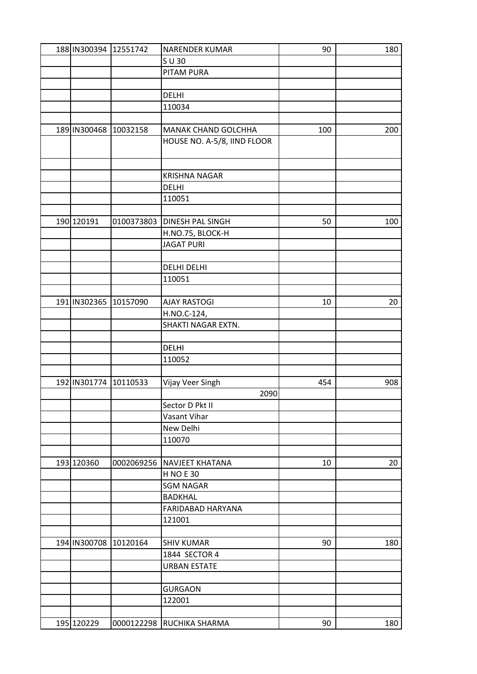| 188 IN300394 12551742 |            | <b>NARENDER KUMAR</b>       | 90  | 180 |
|-----------------------|------------|-----------------------------|-----|-----|
|                       |            | $S$ U 30                    |     |     |
|                       |            | PITAM PURA                  |     |     |
|                       |            |                             |     |     |
|                       |            | <b>DELHI</b>                |     |     |
|                       |            | 110034                      |     |     |
|                       |            |                             |     |     |
| 189 IN300468 10032158 |            | <b>MANAK CHAND GOLCHHA</b>  | 100 | 200 |
|                       |            | HOUSE NO. A-5/8, IIND FLOOR |     |     |
|                       |            |                             |     |     |
|                       |            |                             |     |     |
|                       |            | <b>KRISHNA NAGAR</b>        |     |     |
|                       |            | DELHI                       |     |     |
|                       |            | 110051                      |     |     |
|                       |            |                             |     |     |
| 190 120191            | 0100373803 | <b>DINESH PAL SINGH</b>     | 50  | 100 |
|                       |            |                             |     |     |
|                       |            | H.NO.75, BLOCK-H            |     |     |
|                       |            | <b>JAGAT PURI</b>           |     |     |
|                       |            |                             |     |     |
|                       |            | DELHI DELHI                 |     |     |
|                       |            | 110051                      |     |     |
|                       |            |                             |     |     |
| 191 IN302365          | 10157090   | <b>AJAY RASTOGI</b>         | 10  | 20  |
|                       |            | H.NO.C-124,                 |     |     |
|                       |            | SHAKTI NAGAR EXTN.          |     |     |
|                       |            |                             |     |     |
|                       |            | DELHI                       |     |     |
|                       |            | 110052                      |     |     |
|                       |            |                             |     |     |
| 192 IN301774 10110533 |            | Vijay Veer Singh            | 454 | 908 |
|                       |            | 2090                        |     |     |
|                       |            | Sector D Pkt II             |     |     |
|                       |            | Vasant Vihar                |     |     |
|                       |            | New Delhi                   |     |     |
|                       |            | 110070                      |     |     |
|                       |            |                             |     |     |
| 193 120360            | 0002069256 | <b>NAVJEET KHATANA</b>      | 10  | 20  |
|                       |            | <b>H NO E 30</b>            |     |     |
|                       |            | <b>SGM NAGAR</b>            |     |     |
|                       |            | <b>BADKHAL</b>              |     |     |
|                       |            | FARIDABAD HARYANA           |     |     |
|                       |            | 121001                      |     |     |
|                       |            |                             |     |     |
| 194 IN300708 10120164 |            | <b>SHIV KUMAR</b>           | 90  | 180 |
|                       |            | 1844 SECTOR 4               |     |     |
|                       |            |                             |     |     |
|                       |            | <b>URBAN ESTATE</b>         |     |     |
|                       |            |                             |     |     |
|                       |            | <b>GURGAON</b>              |     |     |
|                       |            | 122001                      |     |     |
|                       |            |                             |     |     |
| 195 120229            |            | 0000122298 RUCHIKA SHARMA   | 90  | 180 |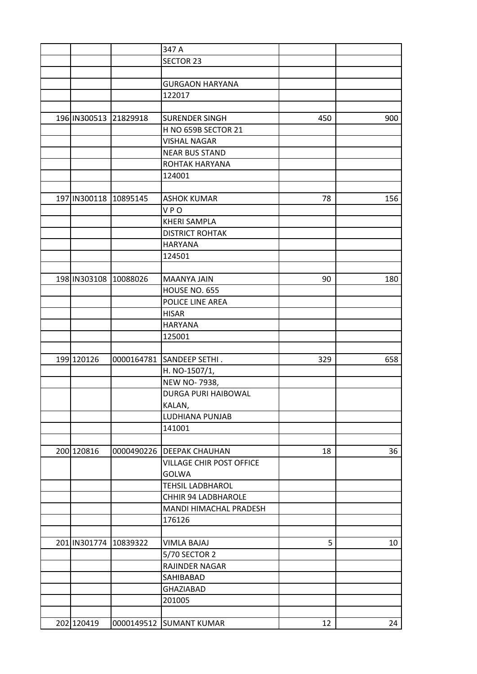|                       |            | 347 A                       |     |     |
|-----------------------|------------|-----------------------------|-----|-----|
|                       |            | <b>SECTOR 23</b>            |     |     |
|                       |            |                             |     |     |
|                       |            | <b>GURGAON HARYANA</b>      |     |     |
|                       |            | 122017                      |     |     |
|                       |            |                             |     |     |
| 196 IN300513 21829918 |            | <b>SURENDER SINGH</b>       | 450 | 900 |
|                       |            | H NO 659B SECTOR 21         |     |     |
|                       |            | <b>VISHAL NAGAR</b>         |     |     |
|                       |            | <b>NEAR BUS STAND</b>       |     |     |
|                       |            | ROHTAK HARYANA              |     |     |
|                       |            | 124001                      |     |     |
|                       |            |                             |     |     |
| 197 IN300118          | 10895145   | <b>ASHOK KUMAR</b>          | 78  | 156 |
|                       |            | <b>VPO</b>                  |     |     |
|                       |            | <b>KHERI SAMPLA</b>         |     |     |
|                       |            | <b>DISTRICT ROHTAK</b>      |     |     |
|                       |            | <b>HARYANA</b>              |     |     |
|                       |            | 124501                      |     |     |
|                       |            |                             |     |     |
|                       |            |                             |     |     |
| 198 IN303108          | 10088026   | <b>MAANYA JAIN</b>          | 90  | 180 |
|                       |            | HOUSE NO. 655               |     |     |
|                       |            | POLICE LINE AREA            |     |     |
|                       |            | <b>HISAR</b>                |     |     |
|                       |            | <b>HARYANA</b>              |     |     |
|                       |            | 125001                      |     |     |
|                       |            |                             |     |     |
| 199 120126            | 0000164781 | SANDEEP SETHI.              | 329 | 658 |
|                       |            | H. NO-1507/1,               |     |     |
|                       |            | NEW NO-7938,                |     |     |
|                       |            | <b>DURGA PURI HAIBOWAL</b>  |     |     |
|                       |            | KALAN,                      |     |     |
|                       |            | LUDHIANA PUNJAB             |     |     |
|                       |            | 141001                      |     |     |
|                       |            |                             |     |     |
| 200 120816            |            | 0000490226   DEEPAK CHAUHAN | 18  | 36  |
|                       |            | VILLAGE CHIR POST OFFICE    |     |     |
|                       |            | <b>GOLWA</b>                |     |     |
|                       |            | <b>TEHSIL LADBHAROL</b>     |     |     |
|                       |            | CHHIR 94 LADBHAROLE         |     |     |
|                       |            | MANDI HIMACHAL PRADESH      |     |     |
|                       |            | 176126                      |     |     |
|                       |            |                             |     |     |
| 201 IN301774          | 10839322   | <b>VIMLA BAJAJ</b>          | 5   | 10  |
|                       |            | 5/70 SECTOR 2               |     |     |
|                       |            | <b>RAJINDER NAGAR</b>       |     |     |
|                       |            | SAHIBABAD                   |     |     |
|                       |            | <b>GHAZIABAD</b>            |     |     |
|                       |            | 201005                      |     |     |
|                       |            |                             |     |     |
| 202 120419            |            | 0000149512 SUMANT KUMAR     | 12  | 24  |
|                       |            |                             |     |     |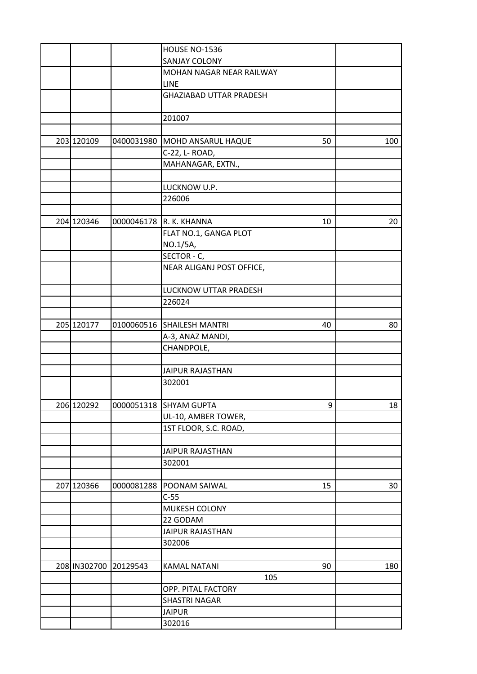|              |            | <b>HOUSE NO-1536</b>           |    |     |
|--------------|------------|--------------------------------|----|-----|
|              |            | SANJAY COLONY                  |    |     |
|              |            | MOHAN NAGAR NEAR RAILWAY       |    |     |
|              |            | <b>LINE</b>                    |    |     |
|              |            | <b>GHAZIABAD UTTAR PRADESH</b> |    |     |
|              |            | 201007                         |    |     |
|              |            |                                |    |     |
| 203 120109   | 0400031980 | MOHD ANSARUL HAQUE             | 50 | 100 |
|              |            | C-22, L- ROAD,                 |    |     |
|              |            | MAHANAGAR, EXTN.,              |    |     |
|              |            |                                |    |     |
|              |            | LUCKNOW U.P.                   |    |     |
|              |            | 226006                         |    |     |
|              |            |                                |    |     |
| 204 120346   |            | 0000046178 R. K. KHANNA        | 10 | 20  |
|              |            | FLAT NO.1, GANGA PLOT          |    |     |
|              |            | NO.1/5A,                       |    |     |
|              |            | SECTOR - C,                    |    |     |
|              |            | NEAR ALIGANJ POST OFFICE,      |    |     |
|              |            |                                |    |     |
|              |            | LUCKNOW UTTAR PRADESH          |    |     |
|              |            | 226024                         |    |     |
|              |            |                                |    |     |
| 205 120177   | 0100060516 | <b>SHAILESH MANTRI</b>         | 40 | 80  |
|              |            | A-3, ANAZ MANDI,               |    |     |
|              |            | CHANDPOLE,                     |    |     |
|              |            |                                |    |     |
|              |            | <b>JAIPUR RAJASTHAN</b>        |    |     |
|              |            | 302001                         |    |     |
|              |            |                                |    |     |
| 206 120292   |            | 0000051318 SHYAM GUPTA         | 9  | 18  |
|              |            | UL-10, AMBER TOWER,            |    |     |
|              |            | 1ST FLOOR, S.C. ROAD,          |    |     |
|              |            |                                |    |     |
|              |            | <b>JAIPUR RAJASTHAN</b>        |    |     |
|              |            | 302001                         |    |     |
|              |            |                                |    |     |
| 207 120366   | 0000081288 | POONAM SAIWAL                  | 15 | 30  |
|              |            | $C-55$                         |    |     |
|              |            | MUKESH COLONY                  |    |     |
|              |            | 22 GODAM                       |    |     |
|              |            | <b>JAIPUR RAJASTHAN</b>        |    |     |
|              |            | 302006                         |    |     |
|              |            |                                |    |     |
| 208 IN302700 | 20129543   | <b>KAMAL NATANI</b>            | 90 | 180 |
|              |            | 105                            |    |     |
|              |            | OPP. PITAL FACTORY             |    |     |
|              |            | <b>SHASTRI NAGAR</b>           |    |     |
|              |            | <b>JAIPUR</b>                  |    |     |
|              |            | 302016                         |    |     |
|              |            |                                |    |     |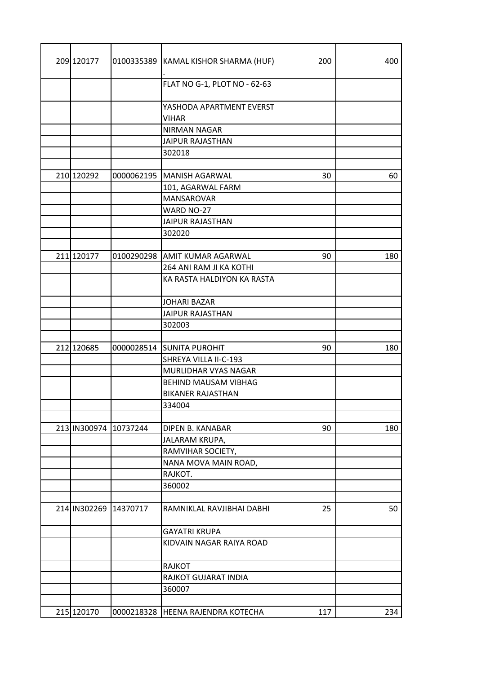| 209 120177   | 0100335389 | KAMAL KISHOR SHARMA (HUF)     | 200 | 400 |
|--------------|------------|-------------------------------|-----|-----|
|              |            | FLAT NO G-1, PLOT NO - 62-63  |     |     |
|              |            | YASHODA APARTMENT EVERST      |     |     |
|              |            | <b>VIHAR</b>                  |     |     |
|              |            | <b>NIRMAN NAGAR</b>           |     |     |
|              |            | <b>JAIPUR RAJASTHAN</b>       |     |     |
|              |            | 302018                        |     |     |
|              |            |                               |     |     |
| 210 120292   | 0000062195 | MANISH AGARWAL                | 30  | 60  |
|              |            | 101, AGARWAL FARM             |     |     |
|              |            | MANSAROVAR                    |     |     |
|              |            | WARD NO-27                    |     |     |
|              |            | <b>JAIPUR RAJASTHAN</b>       |     |     |
|              |            | 302020                        |     |     |
|              |            |                               |     |     |
| 211 120177   |            | 0100290298 AMIT KUMAR AGARWAL | 90  | 180 |
|              |            | 264 ANI RAM JI KA KOTHI       |     |     |
|              |            | KA RASTA HALDIYON KA RASTA    |     |     |
|              |            | <b>JOHARI BAZAR</b>           |     |     |
|              |            | <b>JAIPUR RAJASTHAN</b>       |     |     |
|              |            | 302003                        |     |     |
|              |            |                               |     |     |
| 212 120685   | 0000028514 | <b>SUNITA PUROHIT</b>         | 90  | 180 |
|              |            | SHREYA VILLA II-C-193         |     |     |
|              |            | MURLIDHAR VYAS NAGAR          |     |     |
|              |            | <b>BEHIND MAUSAM VIBHAG</b>   |     |     |
|              |            | <b>BIKANER RAJASTHAN</b>      |     |     |
|              |            | 334004                        |     |     |
|              |            |                               |     |     |
| 213 IN300974 | 10737244   | DIPEN B. KANABAR              | 90  | 180 |
|              |            | JALARAM KRUPA,                |     |     |
|              |            | RAMVIHAR SOCIETY,             |     |     |
|              |            | NANA MOVA MAIN ROAD,          |     |     |
|              |            | RAJKOT.                       |     |     |
|              |            | 360002                        |     |     |
| 214 IN302269 | 14370717   | RAMNIKLAL RAVJIBHAI DABHI     | 25  | 50  |
|              |            |                               |     |     |
|              |            | <b>GAYATRI KRUPA</b>          |     |     |
|              |            | KIDVAIN NAGAR RAIYA ROAD      |     |     |
|              |            | RAJKOT                        |     |     |
|              |            | RAJKOT GUJARAT INDIA          |     |     |
|              |            | 360007                        |     |     |
|              |            |                               |     |     |
| 215 120170   | 0000218328 | HEENA RAJENDRA KOTECHA        | 117 | 234 |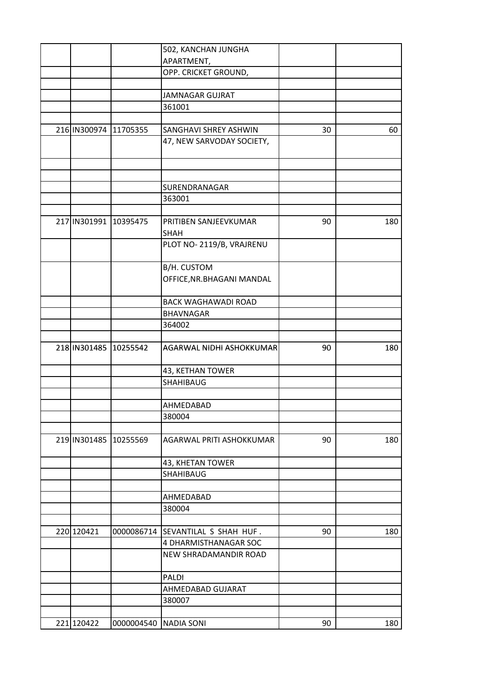|              |                       | 502, KANCHAN JUNGHA        |    |     |
|--------------|-----------------------|----------------------------|----|-----|
|              |                       | APARTMENT,                 |    |     |
|              |                       | OPP. CRICKET GROUND,       |    |     |
|              |                       |                            |    |     |
|              |                       | <b>JAMNAGAR GUJRAT</b>     |    |     |
|              |                       | 361001                     |    |     |
|              |                       |                            |    |     |
| 216 IN300974 | 11705355              | SANGHAVI SHREY ASHWIN      | 30 | 60  |
|              |                       | 47, NEW SARVODAY SOCIETY,  |    |     |
|              |                       |                            |    |     |
|              |                       |                            |    |     |
|              |                       |                            |    |     |
|              |                       | SURENDRANAGAR              |    |     |
|              |                       | 363001                     |    |     |
|              |                       |                            |    |     |
|              | 217 IN301991 10395475 | PRITIBEN SANJEEVKUMAR      | 90 | 180 |
|              |                       | <b>SHAH</b>                |    |     |
|              |                       | PLOT NO-2119/B, VRAJRENU   |    |     |
|              |                       |                            |    |     |
|              |                       | B/H. CUSTOM                |    |     |
|              |                       | OFFICE, NR. BHAGANI MANDAL |    |     |
|              |                       |                            |    |     |
|              |                       | <b>BACK WAGHAWADI ROAD</b> |    |     |
|              |                       | <b>BHAVNAGAR</b>           |    |     |
|              |                       | 364002                     |    |     |
|              |                       |                            |    |     |
|              | 218 IN301485 10255542 | AGARWAL NIDHI ASHOKKUMAR   | 90 | 180 |
|              |                       |                            |    |     |
|              |                       | 43, KETHAN TOWER           |    |     |
|              |                       |                            |    |     |
|              |                       | SHAHIBAUG                  |    |     |
|              |                       |                            |    |     |
|              |                       | AHMEDABAD                  |    |     |
|              |                       | 380004                     |    |     |
|              |                       |                            |    |     |
|              | 219 IN301485 10255569 | AGARWAL PRITI ASHOKKUMAR   | 90 | 180 |
|              |                       |                            |    |     |
|              |                       | 43, KHETAN TOWER           |    |     |
|              |                       | SHAHIBAUG                  |    |     |
|              |                       |                            |    |     |
|              |                       | AHMEDABAD                  |    |     |
|              |                       | 380004                     |    |     |
|              |                       |                            |    |     |
| 220 120421   | 0000086714            | SEVANTILAL S SHAH HUF.     | 90 | 180 |
|              |                       | 4 DHARMISTHANAGAR SOC      |    |     |
|              |                       | NEW SHRADAMANDIR ROAD      |    |     |
|              |                       |                            |    |     |
|              |                       | <b>PALDI</b>               |    |     |
|              |                       | AHMEDABAD GUJARAT          |    |     |
|              |                       | 380007                     |    |     |
|              |                       |                            |    |     |
| 221 120422   | 0000004540            | <b>NADIA SONI</b>          | 90 | 180 |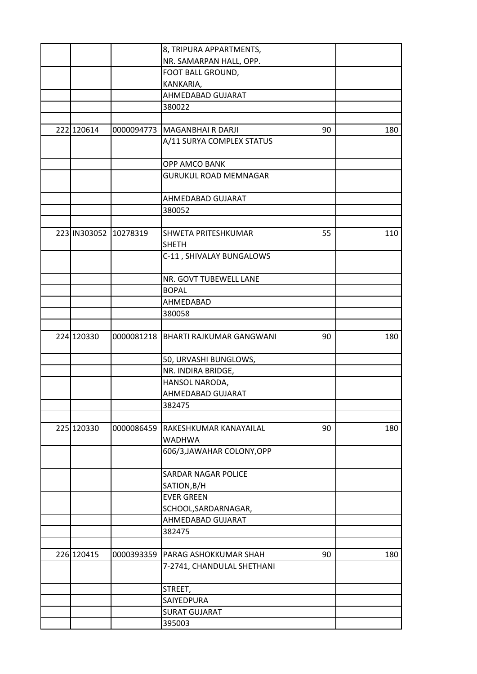|              |            | 8, TRIPURA APPARTMENTS,      |    |     |
|--------------|------------|------------------------------|----|-----|
|              |            | NR. SAMARPAN HALL, OPP.      |    |     |
|              |            | FOOT BALL GROUND,            |    |     |
|              |            | KANKARIA,                    |    |     |
|              |            | AHMEDABAD GUJARAT            |    |     |
|              |            | 380022                       |    |     |
|              |            |                              |    |     |
| 222 120614   | 0000094773 | <b>MAGANBHAIRDARJI</b>       | 90 | 180 |
|              |            | A/11 SURYA COMPLEX STATUS    |    |     |
|              |            |                              |    |     |
|              |            | OPP AMCO BANK                |    |     |
|              |            | <b>GURUKUL ROAD MEMNAGAR</b> |    |     |
|              |            |                              |    |     |
|              |            | AHMEDABAD GUJARAT            |    |     |
|              |            | 380052                       |    |     |
|              |            |                              |    |     |
| 223 IN303052 | 10278319   | SHWETA PRITESHKUMAR          | 55 | 110 |
|              |            | SHETH                        |    |     |
|              |            | C-11, SHIVALAY BUNGALOWS     |    |     |
|              |            |                              |    |     |
|              |            | NR. GOVT TUBEWELL LANE       |    |     |
|              |            | <b>BOPAL</b>                 |    |     |
|              |            | AHMEDABAD                    |    |     |
|              |            | 380058                       |    |     |
|              |            |                              |    |     |
| 224 120330   | 0000081218 | BHARTI RAJKUMAR GANGWANI     | 90 | 180 |
|              |            | 50, URVASHI BUNGLOWS,        |    |     |
|              |            | NR. INDIRA BRIDGE,           |    |     |
|              |            | HANSOL NARODA,               |    |     |
|              |            | AHMEDABAD GUJARAT            |    |     |
|              |            | 382475                       |    |     |
|              |            |                              |    |     |
| 225 120330   | 0000086459 | RAKESHKUMAR KANAYAILAL       | 90 | 180 |
|              |            | <b>WADHWA</b>                |    |     |
|              |            | 606/3, JAWAHAR COLONY, OPP   |    |     |
|              |            |                              |    |     |
|              |            | <b>SARDAR NAGAR POLICE</b>   |    |     |
|              |            | SATION, B/H                  |    |     |
|              |            | <b>EVER GREEN</b>            |    |     |
|              |            | SCHOOL, SARDARNAGAR,         |    |     |
|              |            | AHMEDABAD GUJARAT            |    |     |
|              |            | 382475                       |    |     |
|              |            |                              |    |     |
| 226 120415   | 0000393359 | PARAG ASHOKKUMAR SHAH        | 90 | 180 |
|              |            | 7-2741, CHANDULAL SHETHANI   |    |     |
|              |            |                              |    |     |
|              |            | STREET,                      |    |     |
|              |            | SAIYEDPURA                   |    |     |
|              |            | <b>SURAT GUJARAT</b>         |    |     |
|              |            | 395003                       |    |     |
|              |            |                              |    |     |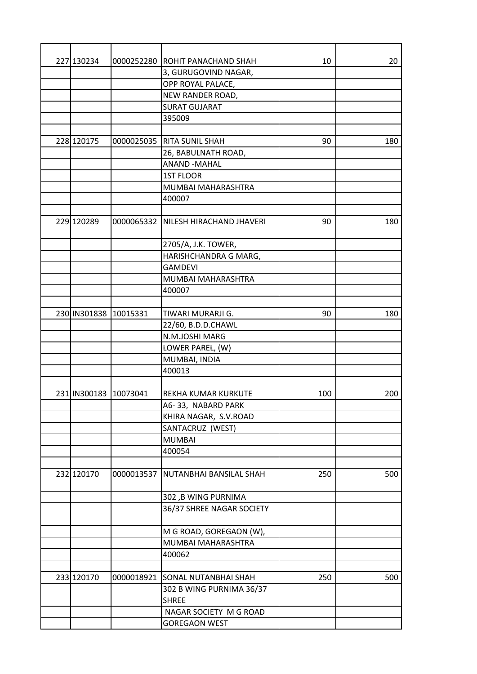| 227 130234            |            | 0000252280 ROHIT PANACHAND SHAH             | 10  | 20  |
|-----------------------|------------|---------------------------------------------|-----|-----|
|                       |            | 3, GURUGOVIND NAGAR,                        |     |     |
|                       |            | OPP ROYAL PALACE,                           |     |     |
|                       |            | NEW RANDER ROAD,                            |     |     |
|                       |            | <b>SURAT GUJARAT</b>                        |     |     |
|                       |            | 395009                                      |     |     |
|                       |            |                                             |     |     |
| 228 120175            |            | 0000025035 RITA SUNIL SHAH                  | 90  | 180 |
|                       |            | 26, BABULNATH ROAD,                         |     |     |
|                       |            | <b>ANAND -MAHAL</b>                         |     |     |
|                       |            | <b>1ST FLOOR</b>                            |     |     |
|                       |            | MUMBAI MAHARASHTRA                          |     |     |
|                       |            | 400007                                      |     |     |
|                       |            |                                             |     |     |
| 229 120289            |            | 0000065332   NILESH HIRACHAND JHAVERI       | 90  | 180 |
|                       |            | 2705/A, J.K. TOWER,                         |     |     |
|                       |            | HARISHCHANDRA G MARG,                       |     |     |
|                       |            | <b>GAMDEVI</b>                              |     |     |
|                       |            | MUMBAI MAHARASHTRA                          |     |     |
|                       |            | 400007                                      |     |     |
|                       |            |                                             |     |     |
| 230 IN301838          | 10015331   | TIWARI MURARJI G.                           | 90  | 180 |
|                       |            | 22/60, B.D.D.CHAWL                          |     |     |
|                       |            | N.M.JOSHI MARG                              |     |     |
|                       |            | LOWER PAREL, (W)                            |     |     |
|                       |            |                                             |     |     |
|                       |            | MUMBAI, INDIA                               |     |     |
|                       |            | 400013                                      |     |     |
| 231 IN300183 10073041 |            | REKHA KUMAR KURKUTE                         | 100 | 200 |
|                       |            |                                             |     |     |
|                       |            | A6-33, NABARD PARK<br>KHIRA NAGAR, S.V.ROAD |     |     |
|                       |            |                                             |     |     |
|                       |            | SANTACRUZ (WEST)                            |     |     |
|                       |            | <b>MUMBAI</b>                               |     |     |
|                       |            | 400054                                      |     |     |
| 232 120170            | 0000013537 | NUTANBHAI BANSILAL SHAH                     | 250 | 500 |
|                       |            | 302, B WING PURNIMA                         |     |     |
|                       |            | 36/37 SHREE NAGAR SOCIETY                   |     |     |
|                       |            |                                             |     |     |
|                       |            | M G ROAD, GOREGAON (W),                     |     |     |
|                       |            | MUMBAI MAHARASHTRA                          |     |     |
|                       |            | 400062                                      |     |     |
|                       |            |                                             |     |     |
| 233 120170            | 0000018921 | SONAL NUTANBHAI SHAH                        | 250 | 500 |
|                       |            | 302 B WING PURNIMA 36/37                    |     |     |
|                       |            | <b>SHREE</b>                                |     |     |
|                       |            | NAGAR SOCIETY M G ROAD                      |     |     |
|                       |            | <b>GOREGAON WEST</b>                        |     |     |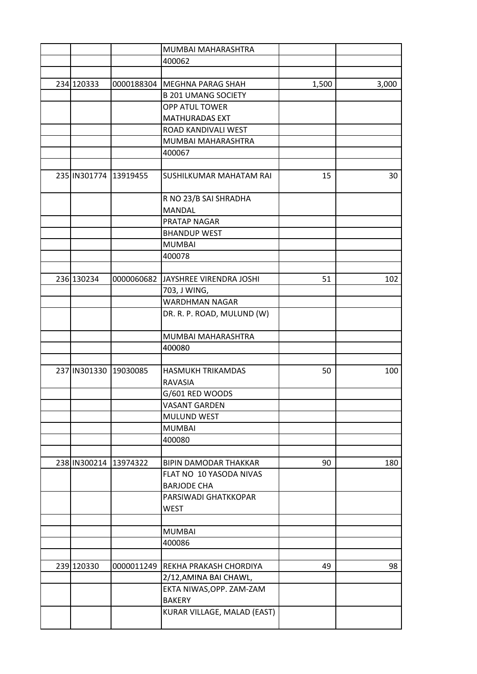|                       |            | MUMBAI MAHARASHTRA                        |       |       |
|-----------------------|------------|-------------------------------------------|-------|-------|
|                       |            | 400062                                    |       |       |
|                       |            |                                           |       |       |
| 234 120333            | 0000188304 | MEGHNA PARAG SHAH                         | 1,500 | 3,000 |
|                       |            | <b>B 201 UMANG SOCIETY</b>                |       |       |
|                       |            | OPP ATUL TOWER                            |       |       |
|                       |            | <b>MATHURADAS EXT</b>                     |       |       |
|                       |            | ROAD KANDIVALI WEST                       |       |       |
|                       |            | MUMBAI MAHARASHTRA                        |       |       |
|                       |            | 400067                                    |       |       |
|                       |            |                                           |       |       |
| 235 IN301774 13919455 |            | SUSHILKUMAR MAHATAM RAI                   | 15    | 30    |
|                       |            | R NO 23/B SAI SHRADHA                     |       |       |
|                       |            | <b>MANDAL</b>                             |       |       |
|                       |            | PRATAP NAGAR                              |       |       |
|                       |            | <b>BHANDUP WEST</b>                       |       |       |
|                       |            | <b>MUMBAI</b>                             |       |       |
|                       |            | 400078                                    |       |       |
|                       |            |                                           |       |       |
| 236 130234            | 0000060682 | JAYSHREE VIRENDRA JOSHI                   | 51    | 102   |
|                       |            | 703, J WING,                              |       |       |
|                       |            | <b>WARDHMAN NAGAR</b>                     |       |       |
|                       |            | DR. R. P. ROAD, MULUND (W)                |       |       |
|                       |            |                                           |       |       |
|                       |            | MUMBAI MAHARASHTRA                        |       |       |
|                       |            | 400080                                    |       |       |
|                       |            |                                           |       |       |
| 237 IN301330 19030085 |            | HASMUKH TRIKAMDAS                         | 50    | 100   |
|                       |            | RAVASIA                                   |       |       |
|                       |            | G/601 RED WOODS                           |       |       |
|                       |            | VASANT GARDEN                             |       |       |
|                       |            | MULUND WEST                               |       |       |
|                       |            | <b>MUMBAI</b>                             |       |       |
|                       |            | 400080                                    |       |       |
|                       |            |                                           |       |       |
| 238 IN300214 13974322 |            | <b>BIPIN DAMODAR THAKKAR</b>              | 90    | 180   |
|                       |            | FLAT NO 10 YASODA NIVAS                   |       |       |
|                       |            | <b>BARJODE CHA</b>                        |       |       |
|                       |            | PARSIWADI GHATKKOPAR                      |       |       |
|                       |            | <b>WEST</b>                               |       |       |
|                       |            |                                           |       |       |
|                       |            | <b>MUMBAI</b>                             |       |       |
|                       |            | 400086                                    |       |       |
|                       |            |                                           |       |       |
| 239 120330            | 0000011249 | REKHA PRAKASH CHORDIYA                    | 49    | 98    |
|                       |            | 2/12, AMINA BAI CHAWL,                    |       |       |
|                       |            |                                           |       |       |
|                       |            | EKTA NIWAS, OPP. ZAM-ZAM<br><b>BAKERY</b> |       |       |
|                       |            | KURAR VILLAGE, MALAD (EAST)               |       |       |
|                       |            |                                           |       |       |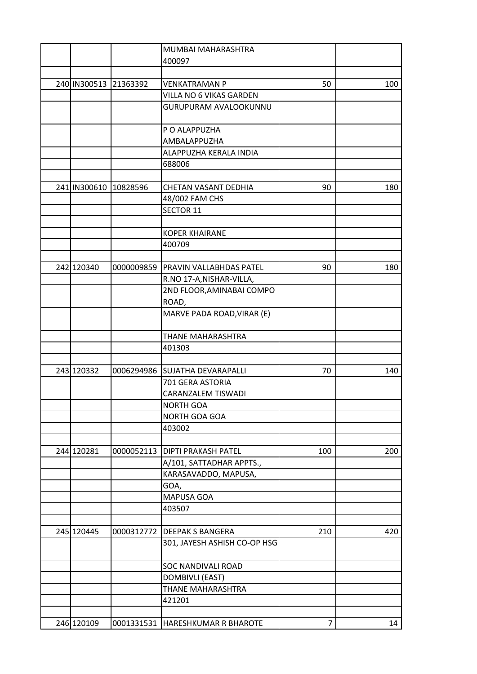|              |            | MUMBAI MAHARASHTRA                 |                |     |
|--------------|------------|------------------------------------|----------------|-----|
|              |            | 400097                             |                |     |
|              |            |                                    |                |     |
| 240 IN300513 | 21363392   | <b>VENKATRAMAN P</b>               | 50             | 100 |
|              |            | VILLA NO 6 VIKAS GARDEN            |                |     |
|              |            | <b>GURUPURAM AVALOOKUNNU</b>       |                |     |
|              |            |                                    |                |     |
|              |            | P O ALAPPUZHA                      |                |     |
|              |            | AMBALAPPUZHA                       |                |     |
|              |            | ALAPPUZHA KERALA INDIA             |                |     |
|              |            | 688006                             |                |     |
|              |            |                                    |                |     |
| 241 IN300610 | 10828596   | CHETAN VASANT DEDHIA               | 90             | 180 |
|              |            | 48/002 FAM CHS                     |                |     |
|              |            | <b>SECTOR 11</b>                   |                |     |
|              |            |                                    |                |     |
|              |            | <b>KOPER KHAIRANE</b>              |                |     |
|              |            | 400709                             |                |     |
|              |            |                                    |                |     |
| 242 120340   | 0000009859 | PRAVIN VALLABHDAS PATEL            | 90             | 180 |
|              |            | R.NO 17-A, NISHAR-VILLA,           |                |     |
|              |            | 2ND FLOOR, AMINABAI COMPO          |                |     |
|              |            | ROAD,                              |                |     |
|              |            | MARVE PADA ROAD, VIRAR (E)         |                |     |
|              |            |                                    |                |     |
|              |            | THANE MAHARASHTRA                  |                |     |
|              |            | 401303                             |                |     |
|              |            |                                    |                |     |
| 243 120332   |            | 0006294986 SUJATHA DEVARAPALLI     | 70             | 140 |
|              |            | 701 GERA ASTORIA                   |                |     |
|              |            | CARANZALEM TISWADI                 |                |     |
|              |            | <b>NORTH GOA</b>                   |                |     |
|              |            | NORTH GOA GOA                      |                |     |
|              |            | 403002                             |                |     |
|              |            |                                    |                |     |
| 244 120281   | 0000052113 | DIPTI PRAKASH PATEL                | 100            | 200 |
|              |            | A/101, SATTADHAR APPTS.,           |                |     |
|              |            | KARASAVADDO, MAPUSA,               |                |     |
|              |            | GOA,                               |                |     |
|              |            | MAPUSA GOA                         |                |     |
|              |            | 403507                             |                |     |
|              |            |                                    |                |     |
| 245 120445   | 0000312772 | <b>DEEPAK S BANGERA</b>            | 210            | 420 |
|              |            | 301, JAYESH ASHISH CO-OP HSG       |                |     |
|              |            |                                    |                |     |
|              |            | <b>SOC NANDIVALI ROAD</b>          |                |     |
|              |            | <b>DOMBIVLI (EAST)</b>             |                |     |
|              |            | THANE MAHARASHTRA                  |                |     |
|              |            | 421201                             |                |     |
|              |            |                                    |                |     |
| 246 120109   |            | 0001331531   HARESHKUMAR R BHAROTE | $\overline{7}$ | 14  |
|              |            |                                    |                |     |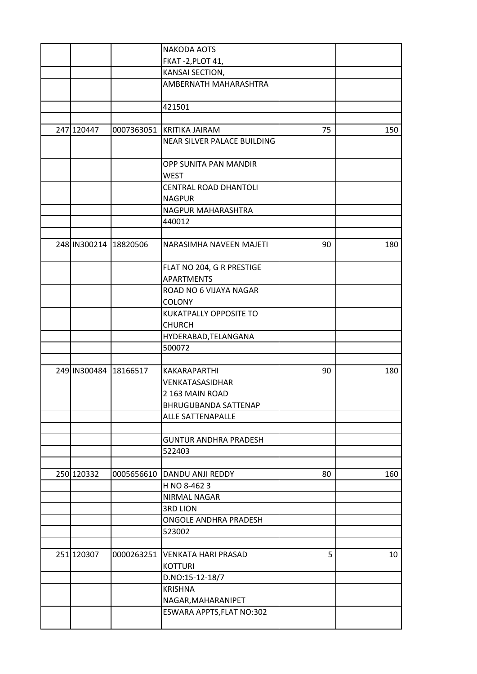|                       |                       | <b>NAKODA AOTS</b>            |    |     |
|-----------------------|-----------------------|-------------------------------|----|-----|
|                       |                       | FKAT-2, PLOT 41,              |    |     |
|                       |                       | KANSAI SECTION,               |    |     |
|                       |                       | AMBERNATH MAHARASHTRA         |    |     |
|                       |                       |                               |    |     |
|                       |                       | 421501                        |    |     |
|                       |                       |                               |    |     |
| 247 120447            |                       | 0007363051 KRITIKA JAIRAM     | 75 | 150 |
|                       |                       | NEAR SILVER PALACE BUILDING   |    |     |
|                       |                       |                               |    |     |
|                       |                       | OPP SUNITA PAN MANDIR         |    |     |
|                       |                       | <b>WEST</b>                   |    |     |
|                       |                       | CENTRAL ROAD DHANTOLI         |    |     |
|                       |                       | <b>NAGPUR</b>                 |    |     |
|                       |                       | NAGPUR MAHARASHTRA            |    |     |
|                       |                       | 440012                        |    |     |
|                       |                       |                               |    |     |
|                       | 248 IN300214 18820506 | NARASIMHA NAVEEN MAJETI       | 90 | 180 |
|                       |                       |                               |    |     |
|                       |                       | FLAT NO 204, G R PRESTIGE     |    |     |
|                       |                       | <b>APARTMENTS</b>             |    |     |
|                       |                       | ROAD NO 6 VIJAYA NAGAR        |    |     |
|                       |                       | <b>COLONY</b>                 |    |     |
|                       |                       | <b>KUKATPALLY OPPOSITE TO</b> |    |     |
|                       |                       | <b>CHURCH</b>                 |    |     |
|                       |                       | HYDERABAD, TELANGANA          |    |     |
|                       |                       | 500072                        |    |     |
|                       |                       |                               |    |     |
| 249 IN300484 18166517 |                       | KAKARAPARTHI                  | 90 | 180 |
|                       |                       | VENKATASASIDHAR               |    |     |
|                       |                       | 2 163 MAIN ROAD               |    |     |
|                       |                       | BHRUGUBANDA SATTENAP          |    |     |
|                       |                       | ALLE SATTENAPALLE             |    |     |
|                       |                       |                               |    |     |
|                       |                       | <b>GUNTUR ANDHRA PRADESH</b>  |    |     |
|                       |                       | 522403                        |    |     |
|                       |                       |                               |    |     |
| 250 120332            | 0005656610            | DANDU ANJI REDDY              | 80 | 160 |
|                       |                       | H NO 8-4623                   |    |     |
|                       |                       | NIRMAL NAGAR                  |    |     |
|                       |                       | <b>3RD LION</b>               |    |     |
|                       |                       | ONGOLE ANDHRA PRADESH         |    |     |
|                       |                       | 523002                        |    |     |
|                       |                       |                               |    |     |
| 251 120307            | 0000263251            | <b>VENKATA HARI PRASAD</b>    | 5  | 10  |
|                       |                       | <b>KOTTURI</b>                |    |     |
|                       |                       | D.NO:15-12-18/7               |    |     |
|                       |                       | <b>KRISHNA</b>                |    |     |
|                       |                       | NAGAR, MAHARANIPET            |    |     |
|                       |                       | ESWARA APPTS, FLAT NO:302     |    |     |
|                       |                       |                               |    |     |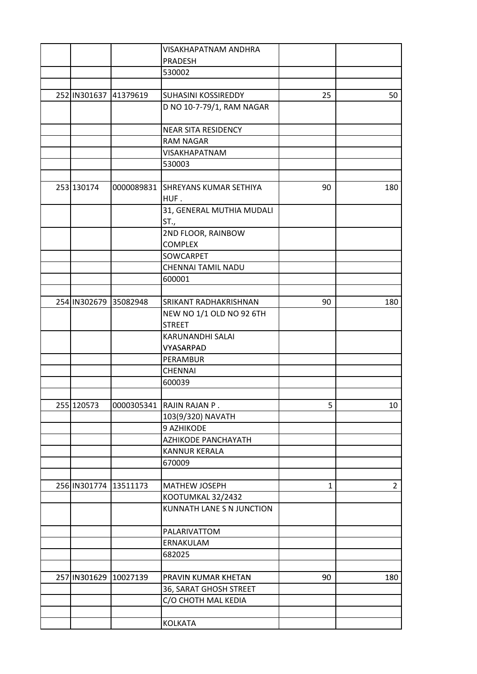|              |                       | VISAKHAPATNAM ANDHRA                      |              |                |
|--------------|-----------------------|-------------------------------------------|--------------|----------------|
|              |                       | <b>PRADESH</b>                            |              |                |
|              |                       | 530002                                    |              |                |
|              |                       |                                           |              |                |
| 252 IN301637 | 41379619              | SUHASINI KOSSIREDDY                       | 25           | 50             |
|              |                       | D NO 10-7-79/1, RAM NAGAR                 |              |                |
|              |                       | <b>NEAR SITA RESIDENCY</b>                |              |                |
|              |                       | <b>RAM NAGAR</b>                          |              |                |
|              |                       | VISAKHAPATNAM                             |              |                |
|              |                       | 530003                                    |              |                |
|              |                       |                                           |              |                |
| 253 130174   | 0000089831            | SHREYANS KUMAR SETHIYA                    | 90           | 180            |
|              |                       | HUF.                                      |              |                |
|              |                       | 31, GENERAL MUTHIA MUDALI                 |              |                |
|              |                       | ST.,                                      |              |                |
|              |                       | 2ND FLOOR, RAINBOW                        |              |                |
|              |                       | <b>COMPLEX</b>                            |              |                |
|              |                       | SOWCARPET                                 |              |                |
|              |                       | CHENNAI TAMIL NADU                        |              |                |
|              |                       | 600001                                    |              |                |
|              |                       |                                           |              |                |
|              | 254 IN302679 35082948 | SRIKANT RADHAKRISHNAN                     | 90           | 180            |
|              |                       | NEW NO 1/1 OLD NO 92 6TH<br><b>STREET</b> |              |                |
|              |                       | KARUNANDHI SALAI                          |              |                |
|              |                       | VYASARPAD                                 |              |                |
|              |                       | PERAMBUR                                  |              |                |
|              |                       | <b>CHENNAI</b>                            |              |                |
|              |                       | 600039                                    |              |                |
|              |                       |                                           |              |                |
| 255 120573   |                       | 0000305341  RAJIN RAJAN P.                | 5            | 10             |
|              |                       | 103(9/320) NAVATH                         |              |                |
|              |                       | 9 AZHIKODE                                |              |                |
|              |                       | AZHIKODE PANCHAYATH                       |              |                |
|              |                       | <b>KANNUR KERALA</b>                      |              |                |
|              |                       | 670009                                    |              |                |
|              |                       |                                           |              |                |
| 256 IN301774 | 13511173              | MATHEW JOSEPH                             | $\mathbf{1}$ | $\overline{2}$ |
|              |                       | KOOTUMKAL 32/2432                         |              |                |
|              |                       | KUNNATH LANE S N JUNCTION                 |              |                |
|              |                       | PALARIVATTOM                              |              |                |
|              |                       | ERNAKULAM                                 |              |                |
|              |                       | 682025                                    |              |                |
| 257 IN301629 |                       |                                           |              | 180            |
|              | 10027139              | PRAVIN KUMAR KHETAN                       | 90           |                |
|              |                       | 36, SARAT GHOSH STREET                    |              |                |
|              |                       | C/O CHOTH MAL KEDIA                       |              |                |
|              |                       |                                           |              |                |
|              |                       | <b>KOLKATA</b>                            |              |                |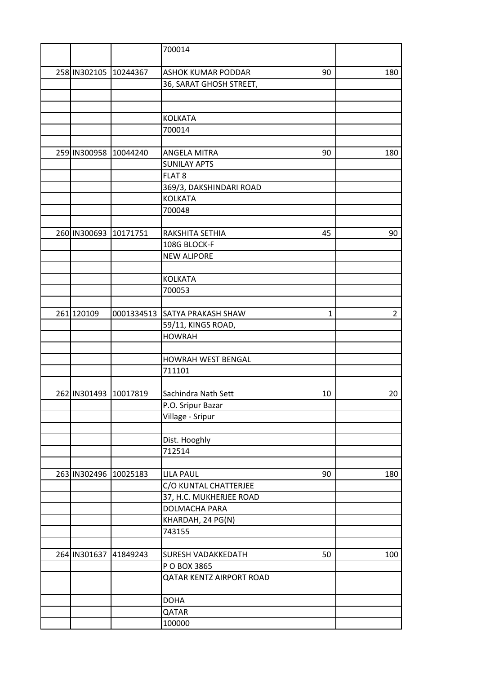|                       |                       | 700014                        |    |                |
|-----------------------|-----------------------|-------------------------------|----|----------------|
|                       |                       |                               |    |                |
| 258 IN302105 10244367 |                       | <b>ASHOK KUMAR PODDAR</b>     | 90 | 180            |
|                       |                       | 36, SARAT GHOSH STREET,       |    |                |
|                       |                       |                               |    |                |
|                       |                       |                               |    |                |
|                       |                       | <b>KOLKATA</b>                |    |                |
|                       |                       | 700014                        |    |                |
|                       |                       |                               |    |                |
| 259 IN300958          | 10044240              | <b>ANGELA MITRA</b>           | 90 | 180            |
|                       |                       | <b>SUNILAY APTS</b>           |    |                |
|                       |                       | FLAT <sub>8</sub>             |    |                |
|                       |                       | 369/3, DAKSHINDARI ROAD       |    |                |
|                       |                       | <b>KOLKATA</b>                |    |                |
|                       |                       | 700048                        |    |                |
|                       |                       |                               |    |                |
| 260 IN300693          | 10171751              | RAKSHITA SETHIA               | 45 | 90             |
|                       |                       | 108G BLOCK-F                  |    |                |
|                       |                       | <b>NEW ALIPORE</b>            |    |                |
|                       |                       |                               |    |                |
|                       |                       | <b>KOLKATA</b>                |    |                |
|                       |                       | 700053                        |    |                |
|                       |                       |                               |    |                |
| 261 120109            |                       | 0001334513 SATYA PRAKASH SHAW |    | $\overline{2}$ |
|                       |                       |                               | 1  |                |
|                       |                       | 59/11, KINGS ROAD,            |    |                |
|                       |                       | <b>HOWRAH</b>                 |    |                |
|                       |                       |                               |    |                |
|                       |                       | <b>HOWRAH WEST BENGAL</b>     |    |                |
|                       |                       | 711101                        |    |                |
|                       |                       |                               |    |                |
| 262 IN301493 10017819 |                       | Sachindra Nath Sett           | 10 | 20             |
|                       |                       | P.O. Sripur Bazar             |    |                |
|                       |                       | Village - Sripur              |    |                |
|                       |                       |                               |    |                |
|                       |                       | Dist. Hooghly                 |    |                |
|                       |                       | 712514                        |    |                |
|                       |                       |                               |    |                |
|                       | 263 IN302496 10025183 | <b>LILA PAUL</b>              | 90 | 180            |
|                       |                       | C/O KUNTAL CHATTERJEE         |    |                |
|                       |                       | 37, H.C. MUKHERJEE ROAD       |    |                |
|                       |                       | DOLMACHA PARA                 |    |                |
|                       |                       | KHARDAH, 24 PG(N)             |    |                |
|                       |                       | 743155                        |    |                |
|                       |                       |                               |    |                |
|                       | 264 IN301637 41849243 | SURESH VADAKKEDATH            | 50 | 100            |
|                       |                       | P O BOX 3865                  |    |                |
|                       |                       | QATAR KENTZ AIRPORT ROAD      |    |                |
|                       |                       | <b>DOHA</b>                   |    |                |
|                       |                       | QATAR                         |    |                |
|                       |                       | 100000                        |    |                |
|                       |                       |                               |    |                |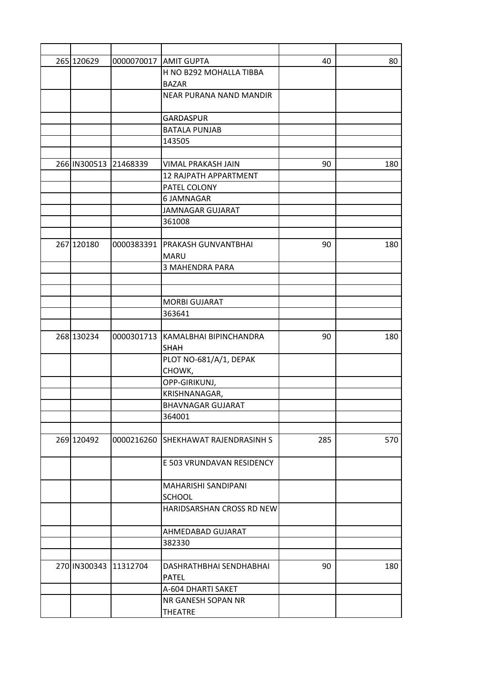| 265 120629   |                       | 0000070017 AMIT GUPTA               | 40  | 80  |
|--------------|-----------------------|-------------------------------------|-----|-----|
|              |                       | H NO B292 MOHALLA TIBBA             |     |     |
|              |                       | <b>BAZAR</b>                        |     |     |
|              |                       | <b>NEAR PURANA NAND MANDIR</b>      |     |     |
|              |                       |                                     |     |     |
|              |                       | <b>GARDASPUR</b>                    |     |     |
|              |                       | <b>BATALA PUNJAB</b>                |     |     |
|              |                       | 143505                              |     |     |
|              |                       |                                     |     |     |
| 266 IN300513 | 21468339              | VIMAL PRAKASH JAIN                  | 90  | 180 |
|              |                       | 12 RAJPATH APPARTMENT               |     |     |
|              |                       | PATEL COLONY                        |     |     |
|              |                       | 6 JAMNAGAR                          |     |     |
|              |                       | <b>JAMNAGAR GUJARAT</b>             |     |     |
|              |                       | 361008                              |     |     |
|              |                       |                                     |     |     |
| 267 120180   |                       | 0000383391   PRAKASH GUNVANTBHAI    | 90  | 180 |
|              |                       | <b>MARU</b>                         |     |     |
|              |                       | <b>3 MAHENDRA PARA</b>              |     |     |
|              |                       |                                     |     |     |
|              |                       |                                     |     |     |
|              |                       | <b>MORBI GUJARAT</b>                |     |     |
|              |                       | 363641                              |     |     |
|              |                       |                                     |     |     |
| 268 130234   |                       | 0000301713 KAMALBHAI BIPINCHANDRA   | 90  | 180 |
|              |                       | <b>SHAH</b>                         |     |     |
|              |                       | PLOT NO-681/A/1, DEPAK              |     |     |
|              |                       | CHOWK,                              |     |     |
|              |                       | OPP-GIRIKUNJ,                       |     |     |
|              |                       | KRISHNANAGAR,                       |     |     |
|              |                       | <b>BHAVNAGAR GUJARAT</b>            |     |     |
|              |                       | 364001                              |     |     |
|              |                       |                                     |     |     |
| 269 120492   |                       | 0000216260 SHEKHAWAT RAJENDRASINH S | 285 | 570 |
|              |                       |                                     |     |     |
|              |                       | E 503 VRUNDAVAN RESIDENCY           |     |     |
|              |                       |                                     |     |     |
|              |                       | MAHARISHI SANDIPANI                 |     |     |
|              |                       | <b>SCHOOL</b>                       |     |     |
|              |                       | HARIDSARSHAN CROSS RD NEW           |     |     |
|              |                       |                                     |     |     |
|              |                       | AHMEDABAD GUJARAT                   |     |     |
|              |                       | 382330                              |     |     |
|              |                       |                                     |     |     |
|              | 270 IN300343 11312704 | DASHRATHBHAI SENDHABHAI             | 90  | 180 |
|              |                       | <b>PATEL</b>                        |     |     |
|              |                       | A-604 DHARTI SAKET                  |     |     |
|              |                       | NR GANESH SOPAN NR                  |     |     |
|              |                       | THEATRE                             |     |     |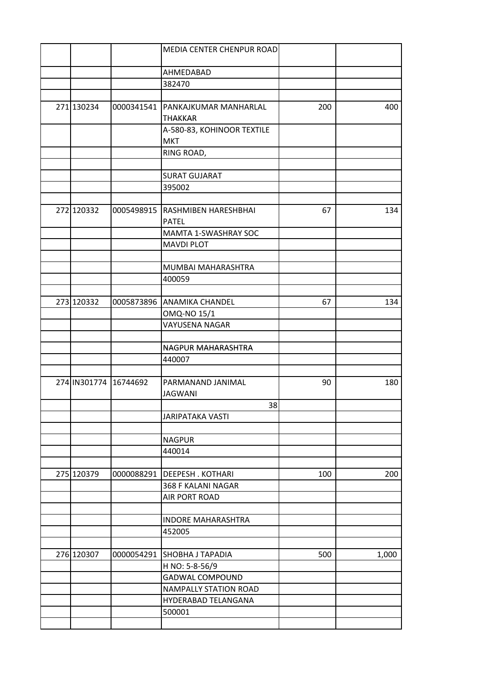|            |                       | MEDIA CENTER CHENPUR ROAD                |     |       |
|------------|-----------------------|------------------------------------------|-----|-------|
|            |                       | AHMEDABAD                                |     |       |
|            |                       | 382470                                   |     |       |
|            |                       |                                          |     |       |
| 271 130234 |                       | 0000341541   PANKAJKUMAR MANHARLAL       | 200 | 400   |
|            |                       | <b>THAKKAR</b>                           |     |       |
|            |                       | A-580-83, KOHINOOR TEXTILE<br><b>MKT</b> |     |       |
|            |                       | RING ROAD,                               |     |       |
|            |                       |                                          |     |       |
|            |                       | <b>SURAT GUJARAT</b>                     |     |       |
|            |                       | 395002                                   |     |       |
|            |                       |                                          |     |       |
| 272 120332 | 0005498915            | <b>RASHMIBEN HARESHBHAI</b>              | 67  | 134   |
|            |                       | <b>PATEL</b>                             |     |       |
|            |                       | MAMTA 1-SWASHRAY SOC                     |     |       |
|            |                       | <b>MAVDI PLOT</b>                        |     |       |
|            |                       | MUMBAI MAHARASHTRA                       |     |       |
|            |                       | 400059                                   |     |       |
|            |                       |                                          |     |       |
| 273 120332 | 0005873896            | <b>ANAMIKA CHANDEL</b>                   | 67  | 134   |
|            |                       | OMQ-NO 15/1                              |     |       |
|            |                       | VAYUSENA NAGAR                           |     |       |
|            |                       |                                          |     |       |
|            |                       | NAGPUR MAHARASHTRA                       |     |       |
|            |                       | 440007                                   |     |       |
|            | 274 IN301774 16744692 | PARMANAND JANIMAL                        |     |       |
|            |                       | <b>JAGWANI</b>                           | 90  | 180   |
|            |                       | 38                                       |     |       |
|            |                       | <b>JARIPATAKA VASTI</b>                  |     |       |
|            |                       |                                          |     |       |
|            |                       | <b>NAGPUR</b>                            |     |       |
|            |                       | 440014                                   |     |       |
|            |                       |                                          |     |       |
| 275 120379 | 0000088291            | <b>DEEPESH. KOTHARI</b>                  | 100 | 200   |
|            |                       | 368 F KALANI NAGAR                       |     |       |
|            |                       | AIR PORT ROAD                            |     |       |
|            |                       |                                          |     |       |
|            |                       | <b>INDORE MAHARASHTRA</b>                |     |       |
|            |                       | 452005                                   |     |       |
| 276 120307 | 0000054291            | <b>SHOBHA J TAPADIA</b>                  | 500 | 1,000 |
|            |                       | H NO: 5-8-56/9                           |     |       |
|            |                       | <b>GADWAL COMPOUND</b>                   |     |       |
|            |                       | <b>NAMPALLY STATION ROAD</b>             |     |       |
|            |                       | HYDERABAD TELANGANA                      |     |       |
|            |                       | 500001                                   |     |       |
|            |                       |                                          |     |       |
|            |                       |                                          |     |       |